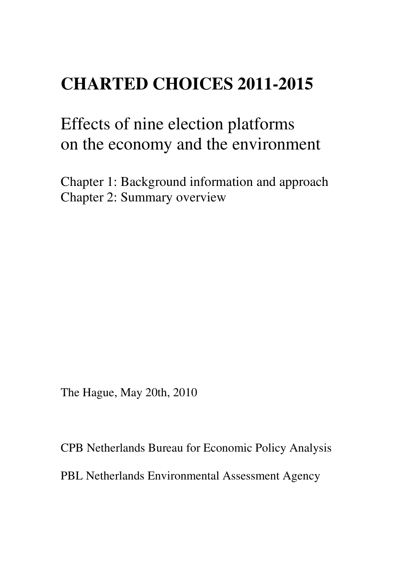# **CHARTED CHOICES 2011-2015**

# Effects of nine election platforms on the economy and the environment

Chapter 1: Background information and approach Chapter 2: Summary overview

The Hague, May 20th, 2010

CPB Netherlands Bureau for Economic Policy Analysis PBL Netherlands Environmental Assessment Agency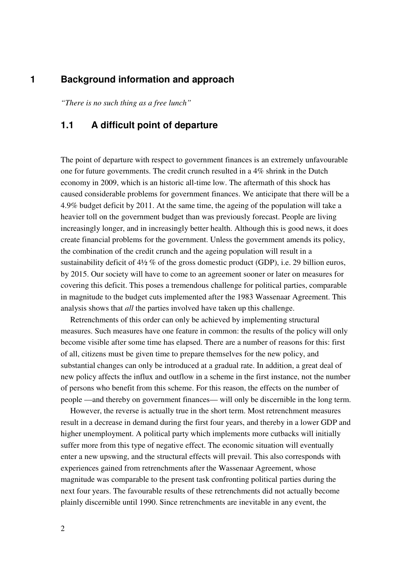## **1 Background information and approach**

*"There is no such thing as a free lunch"* 

## **1.1 A difficult point of departure**

The point of departure with respect to government finances is an extremely unfavourable one for future governments. The credit crunch resulted in a 4% shrink in the Dutch economy in 2009, which is an historic all-time low. The aftermath of this shock has caused considerable problems for government finances. We anticipate that there will be a 4.9% budget deficit by 2011. At the same time, the ageing of the population will take a heavier toll on the government budget than was previously forecast. People are living increasingly longer, and in increasingly better health. Although this is good news, it does create financial problems for the government. Unless the government amends its policy, the combination of the credit crunch and the ageing population will result in a sustainability deficit of 4½ % of the gross domestic product (GDP), i.e. 29 billion euros, by 2015. Our society will have to come to an agreement sooner or later on measures for covering this deficit. This poses a tremendous challenge for political parties, comparable in magnitude to the budget cuts implemented after the 1983 Wassenaar Agreement. This analysis shows that *all* the parties involved have taken up this challenge.

Retrenchments of this order can only be achieved by implementing structural measures. Such measures have one feature in common: the results of the policy will only become visible after some time has elapsed. There are a number of reasons for this: first of all, citizens must be given time to prepare themselves for the new policy, and substantial changes can only be introduced at a gradual rate. In addition, a great deal of new policy affects the influx and outflow in a scheme in the first instance, not the number of persons who benefit from this scheme. For this reason, the effects on the number of people —and thereby on government finances— will only be discernible in the long term.

However, the reverse is actually true in the short term. Most retrenchment measures result in a decrease in demand during the first four years, and thereby in a lower GDP and higher unemployment. A political party which implements more cutbacks will initially suffer more from this type of negative effect. The economic situation will eventually enter a new upswing, and the structural effects will prevail. This also corresponds with experiences gained from retrenchments after the Wassenaar Agreement, whose magnitude was comparable to the present task confronting political parties during the next four years. The favourable results of these retrenchments did not actually become plainly discernible until 1990. Since retrenchments are inevitable in any event, the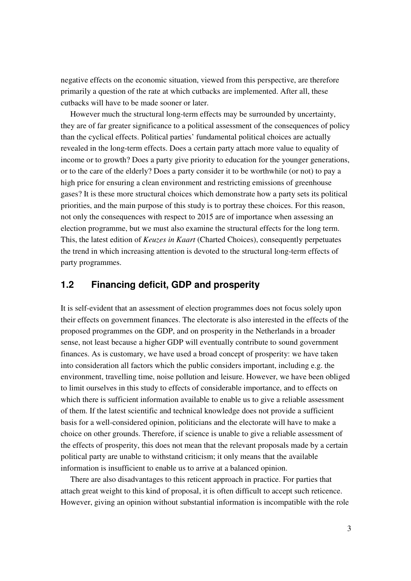negative effects on the economic situation, viewed from this perspective, are therefore primarily a question of the rate at which cutbacks are implemented. After all, these cutbacks will have to be made sooner or later.

However much the structural long-term effects may be surrounded by uncertainty, they are of far greater significance to a political assessment of the consequences of policy than the cyclical effects. Political parties' fundamental political choices are actually revealed in the long-term effects. Does a certain party attach more value to equality of income or to growth? Does a party give priority to education for the younger generations, or to the care of the elderly? Does a party consider it to be worthwhile (or not) to pay a high price for ensuring a clean environment and restricting emissions of greenhouse gases? It is these more structural choices which demonstrate how a party sets its political priorities, and the main purpose of this study is to portray these choices. For this reason, not only the consequences with respect to 2015 are of importance when assessing an election programme, but we must also examine the structural effects for the long term. This, the latest edition of *Keuzes in Kaart* (Charted Choices), consequently perpetuates the trend in which increasing attention is devoted to the structural long-term effects of party programmes.

## **1.2 Financing deficit, GDP and prosperity**

It is self-evident that an assessment of election programmes does not focus solely upon their effects on government finances. The electorate is also interested in the effects of the proposed programmes on the GDP, and on prosperity in the Netherlands in a broader sense, not least because a higher GDP will eventually contribute to sound government finances. As is customary, we have used a broad concept of prosperity: we have taken into consideration all factors which the public considers important, including e.g. the environment, travelling time, noise pollution and leisure. However, we have been obliged to limit ourselves in this study to effects of considerable importance, and to effects on which there is sufficient information available to enable us to give a reliable assessment of them. If the latest scientific and technical knowledge does not provide a sufficient basis for a well-considered opinion, politicians and the electorate will have to make a choice on other grounds. Therefore, if science is unable to give a reliable assessment of the effects of prosperity, this does not mean that the relevant proposals made by a certain political party are unable to withstand criticism; it only means that the available information is insufficient to enable us to arrive at a balanced opinion.

There are also disadvantages to this reticent approach in practice. For parties that attach great weight to this kind of proposal, it is often difficult to accept such reticence. However, giving an opinion without substantial information is incompatible with the role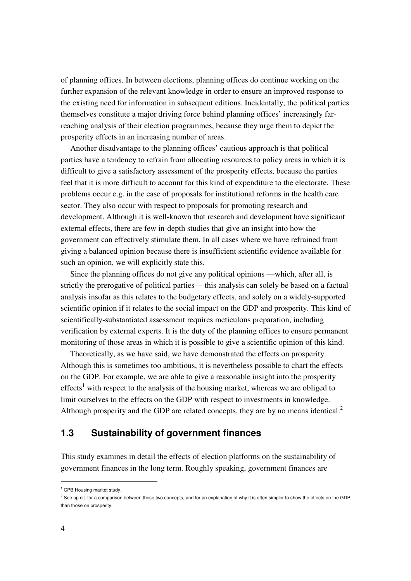of planning offices. In between elections, planning offices do continue working on the further expansion of the relevant knowledge in order to ensure an improved response to the existing need for information in subsequent editions. Incidentally, the political parties themselves constitute a major driving force behind planning offices' increasingly farreaching analysis of their election programmes, because they urge them to depict the prosperity effects in an increasing number of areas.

Another disadvantage to the planning offices' cautious approach is that political parties have a tendency to refrain from allocating resources to policy areas in which it is difficult to give a satisfactory assessment of the prosperity effects, because the parties feel that it is more difficult to account for this kind of expenditure to the electorate. These problems occur e.g. in the case of proposals for institutional reforms in the health care sector. They also occur with respect to proposals for promoting research and development. Although it is well-known that research and development have significant external effects, there are few in-depth studies that give an insight into how the government can effectively stimulate them. In all cases where we have refrained from giving a balanced opinion because there is insufficient scientific evidence available for such an opinion, we will explicitly state this.

Since the planning offices do not give any political opinions —which, after all, is strictly the prerogative of political parties— this analysis can solely be based on a factual analysis insofar as this relates to the budgetary effects, and solely on a widely-supported scientific opinion if it relates to the social impact on the GDP and prosperity. This kind of scientifically-substantiated assessment requires meticulous preparation, including verification by external experts. It is the duty of the planning offices to ensure permanent monitoring of those areas in which it is possible to give a scientific opinion of this kind.

Theoretically, as we have said, we have demonstrated the effects on prosperity. Although this is sometimes too ambitious, it is nevertheless possible to chart the effects on the GDP. For example, we are able to give a reasonable insight into the prosperity effects<sup>1</sup> with respect to the analysis of the housing market, whereas we are obliged to limit ourselves to the effects on the GDP with respect to investments in knowledge. Although prosperity and the GDP are related concepts, they are by no means identical.<sup>2</sup>

# **1.3 Sustainability of government finances**

This study examines in detail the effects of election platforms on the sustainability of government finances in the long term. Roughly speaking, government finances are

-

<sup>&</sup>lt;sup>1</sup> CPB Housing market study.

 $^2$  See op.cit. for a comparison between these two concepts, and for an explanation of why it is often simpler to show the effects on the GDP than those on prosperity.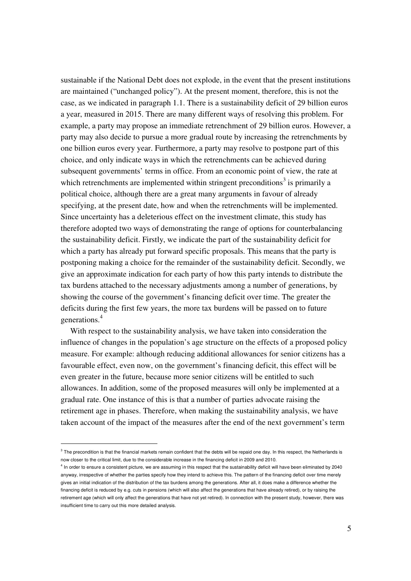sustainable if the National Debt does not explode, in the event that the present institutions are maintained ("unchanged policy"). At the present moment, therefore, this is not the case, as we indicated in paragraph 1.1. There is a sustainability deficit of 29 billion euros a year, measured in 2015. There are many different ways of resolving this problem. For example, a party may propose an immediate retrenchment of 29 billion euros. However, a party may also decide to pursue a more gradual route by increasing the retrenchments by one billion euros every year. Furthermore, a party may resolve to postpone part of this choice, and only indicate ways in which the retrenchments can be achieved during subsequent governments' terms in office. From an economic point of view, the rate at which retrenchments are implemented within stringent preconditions<sup>3</sup> is primarily a political choice, although there are a great many arguments in favour of already specifying, at the present date, how and when the retrenchments will be implemented. Since uncertainty has a deleterious effect on the investment climate, this study has therefore adopted two ways of demonstrating the range of options for counterbalancing the sustainability deficit. Firstly, we indicate the part of the sustainability deficit for which a party has already put forward specific proposals. This means that the party is postponing making a choice for the remainder of the sustainability deficit. Secondly, we give an approximate indication for each party of how this party intends to distribute the tax burdens attached to the necessary adjustments among a number of generations, by showing the course of the government's financing deficit over time. The greater the deficits during the first few years, the more tax burdens will be passed on to future generations.<sup>4</sup>

With respect to the sustainability analysis, we have taken into consideration the influence of changes in the population's age structure on the effects of a proposed policy measure. For example: although reducing additional allowances for senior citizens has a favourable effect, even now, on the government's financing deficit, this effect will be even greater in the future, because more senior citizens will be entitled to such allowances. In addition, some of the proposed measures will only be implemented at a gradual rate. One instance of this is that a number of parties advocate raising the retirement age in phases. Therefore, when making the sustainability analysis, we have taken account of the impact of the measures after the end of the next government's term

-

 $3$  The precondition is that the financial markets remain confident that the debts will be repaid one day. In this respect, the Netherlands is now closer to the critical limit, due to the considerable increase in the financing deficit in 2009 and 2010.

<sup>&</sup>lt;sup>4</sup> In order to ensure a consistent picture, we are assuming in this respect that the sustainability deficit will have been eliminated by 2040 anyway, irrespective of whether the parties specify how they intend to achieve this. The pattern of the financing deficit over time merely gives an initial indication of the distribution of the tax burdens among the generations. After all, it does make a difference whether the financing deficit is reduced by e.g. cuts in pensions (which will also affect the generations that have already retired), or by raising the retirement age (which will only affect the generations that have not yet retired). In connection with the present study, however, there was insufficient time to carry out this more detailed analysis.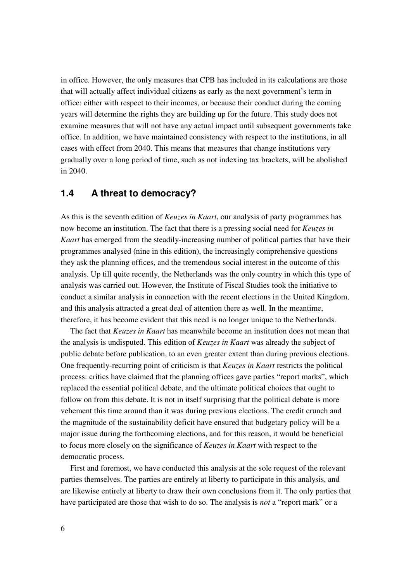in office. However, the only measures that CPB has included in its calculations are those that will actually affect individual citizens as early as the next government's term in office: either with respect to their incomes, or because their conduct during the coming years will determine the rights they are building up for the future. This study does not examine measures that will not have any actual impact until subsequent governments take office. In addition, we have maintained consistency with respect to the institutions, in all cases with effect from 2040. This means that measures that change institutions very gradually over a long period of time, such as not indexing tax brackets, will be abolished in 2040.

## **1.4 A threat to democracy?**

As this is the seventh edition of *Keuzes in Kaart*, our analysis of party programmes has now become an institution. The fact that there is a pressing social need for *Keuzes in Kaart* has emerged from the steadily-increasing number of political parties that have their programmes analysed (nine in this edition), the increasingly comprehensive questions they ask the planning offices, and the tremendous social interest in the outcome of this analysis. Up till quite recently, the Netherlands was the only country in which this type of analysis was carried out. However, the Institute of Fiscal Studies took the initiative to conduct a similar analysis in connection with the recent elections in the United Kingdom, and this analysis attracted a great deal of attention there as well. In the meantime, therefore, it has become evident that this need is no longer unique to the Netherlands.

The fact that *Keuzes in Kaart* has meanwhile become an institution does not mean that the analysis is undisputed. This edition of *Keuzes in Kaart* was already the subject of public debate before publication, to an even greater extent than during previous elections. One frequently-recurring point of criticism is that *Keuzes in Kaart* restricts the political process: critics have claimed that the planning offices gave parties "report marks", which replaced the essential political debate, and the ultimate political choices that ought to follow on from this debate. It is not in itself surprising that the political debate is more vehement this time around than it was during previous elections. The credit crunch and the magnitude of the sustainability deficit have ensured that budgetary policy will be a major issue during the forthcoming elections, and for this reason, it would be beneficial to focus more closely on the significance of *Keuzes in Kaart* with respect to the democratic process.

First and foremost, we have conducted this analysis at the sole request of the relevant parties themselves. The parties are entirely at liberty to participate in this analysis, and are likewise entirely at liberty to draw their own conclusions from it. The only parties that have participated are those that wish to do so. The analysis is *not* a "report mark" or a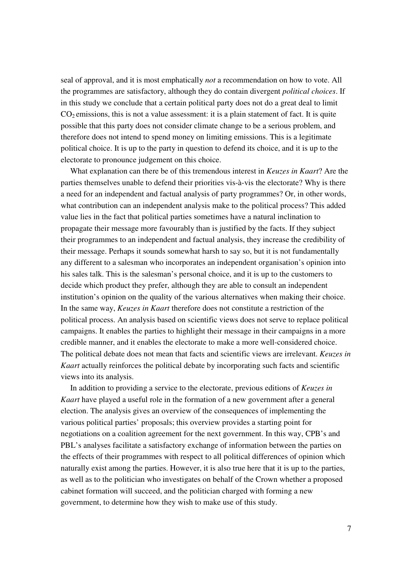seal of approval, and it is most emphatically *not* a recommendation on how to vote. All the programmes are satisfactory, although they do contain divergent *political choices*. If in this study we conclude that a certain political party does not do a great deal to limit  $CO<sub>2</sub>$  emissions, this is not a value assessment: it is a plain statement of fact. It is quite possible that this party does not consider climate change to be a serious problem, and therefore does not intend to spend money on limiting emissions. This is a legitimate political choice. It is up to the party in question to defend its choice, and it is up to the electorate to pronounce judgement on this choice.

What explanation can there be of this tremendous interest in *Keuzes in Kaart*? Are the parties themselves unable to defend their priorities vis-à-vis the electorate? Why is there a need for an independent and factual analysis of party programmes? Or, in other words, what contribution can an independent analysis make to the political process? This added value lies in the fact that political parties sometimes have a natural inclination to propagate their message more favourably than is justified by the facts. If they subject their programmes to an independent and factual analysis, they increase the credibility of their message. Perhaps it sounds somewhat harsh to say so, but it is not fundamentally any different to a salesman who incorporates an independent organisation's opinion into his sales talk. This is the salesman's personal choice, and it is up to the customers to decide which product they prefer, although they are able to consult an independent institution's opinion on the quality of the various alternatives when making their choice. In the same way, *Keuzes in Kaart* therefore does not constitute a restriction of the political process. An analysis based on scientific views does not serve to replace political campaigns. It enables the parties to highlight their message in their campaigns in a more credible manner, and it enables the electorate to make a more well-considered choice. The political debate does not mean that facts and scientific views are irrelevant. *Keuzes in Kaart* actually reinforces the political debate by incorporating such facts and scientific views into its analysis.

In addition to providing a service to the electorate, previous editions of *Keuzes in Kaart* have played a useful role in the formation of a new government after a general election. The analysis gives an overview of the consequences of implementing the various political parties' proposals; this overview provides a starting point for negotiations on a coalition agreement for the next government. In this way, CPB's and PBL's analyses facilitate a satisfactory exchange of information between the parties on the effects of their programmes with respect to all political differences of opinion which naturally exist among the parties. However, it is also true here that it is up to the parties, as well as to the politician who investigates on behalf of the Crown whether a proposed cabinet formation will succeed, and the politician charged with forming a new government, to determine how they wish to make use of this study.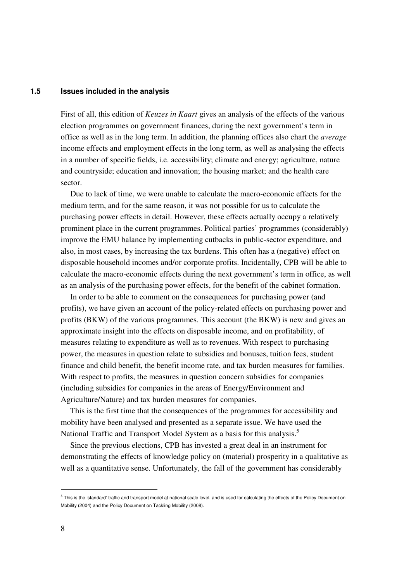#### **1.5 Issues included in the analysis**

First of all, this edition of *Keuzes in Kaart* gives an analysis of the effects of the various election programmes on government finances, during the next government's term in office as well as in the long term. In addition, the planning offices also chart the *average* income effects and employment effects in the long term, as well as analysing the effects in a number of specific fields, i.e. accessibility; climate and energy; agriculture, nature and countryside; education and innovation; the housing market; and the health care sector.

Due to lack of time, we were unable to calculate the macro-economic effects for the medium term, and for the same reason, it was not possible for us to calculate the purchasing power effects in detail. However, these effects actually occupy a relatively prominent place in the current programmes. Political parties' programmes (considerably) improve the EMU balance by implementing cutbacks in public-sector expenditure, and also, in most cases, by increasing the tax burdens. This often has a (negative) effect on disposable household incomes and/or corporate profits. Incidentally, CPB will be able to calculate the macro-economic effects during the next government's term in office, as well as an analysis of the purchasing power effects, for the benefit of the cabinet formation.

In order to be able to comment on the consequences for purchasing power (and profits), we have given an account of the policy-related effects on purchasing power and profits (BKW) of the various programmes. This account (the BKW) is new and gives an approximate insight into the effects on disposable income, and on profitability, of measures relating to expenditure as well as to revenues. With respect to purchasing power, the measures in question relate to subsidies and bonuses, tuition fees, student finance and child benefit, the benefit income rate, and tax burden measures for families. With respect to profits, the measures in question concern subsidies for companies (including subsidies for companies in the areas of Energy/Environment and Agriculture/Nature) and tax burden measures for companies.

This is the first time that the consequences of the programmes for accessibility and mobility have been analysed and presented as a separate issue. We have used the National Traffic and Transport Model System as a basis for this analysis.<sup>5</sup>

Since the previous elections, CPB has invested a great deal in an instrument for demonstrating the effects of knowledge policy on (material) prosperity in a qualitative as well as a quantitative sense. Unfortunately, the fall of the government has considerably

-

 $^5$  This is the 'standard' traffic and transport model at national scale level, and is used for calculating the effects of the Policy Document on Mobility (2004) and the Policy Document on Tackling Mobility (2008).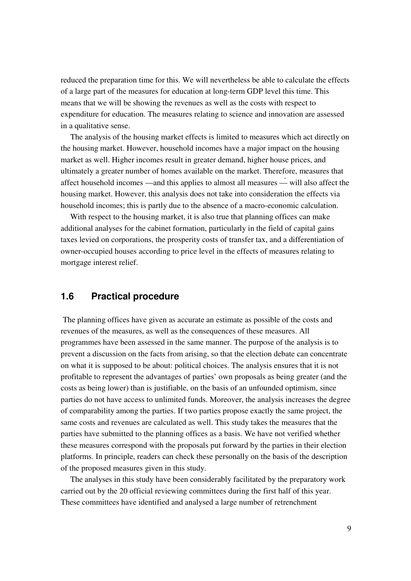reduced the preparation time for this. We will nevertheless be able to calculate the effects of a large part of the measures for education at long-term GDP level this time. This means that we will be showing the revenues as well as the costs with respect to expenditure for education. The measures relating to science and innovation are assessed in a qualitative sense.

The analysis of the housing market effects is limited to measures which act directly on the housing market. However, household incomes have a major impact on the housing market as well. Higher incomes result in greater demand, higher house prices, and ultimately a greater number of homes available on the market. Therefore, measures that affect household incomes —and this applies to almost all measures — will also affect the housing market. However, this analysis does not take into consideration the effects via household incomes; this is partly due to the absence of a macro-economic calculation.

With respect to the housing market, it is also true that planning offices can make additional analyses for the cabinet formation, particularly in the field of capital gains taxes levied on corporations, the prosperity costs of transfer tax, and a differentiation of owner-occupied houses according to price level in the effects of measures relating to mortgage interest relief.

## **1.6 Practical procedure**

 The planning offices have given as accurate an estimate as possible of the costs and revenues of the measures, as well as the consequences of these measures. All programmes have been assessed in the same manner. The purpose of the analysis is to prevent a discussion on the facts from arising, so that the election debate can concentrate on what it is supposed to be about: political choices. The analysis ensures that it is not profitable to represent the advantages of parties' own proposals as being greater (and the costs as being lower) than is justifiable, on the basis of an unfounded optimism, since parties do not have access to unlimited funds. Moreover, the analysis increases the degree of comparability among the parties. If two parties propose exactly the same project, the same costs and revenues are calculated as well. This study takes the measures that the parties have submitted to the planning offices as a basis. We have not verified whether these measures correspond with the proposals put forward by the parties in their election platforms. In principle, readers can check these personally on the basis of the description of the proposed measures given in this study.

The analyses in this study have been considerably facilitated by the preparatory work carried out by the 20 official reviewing committees during the first half of this year. These committees have identified and analysed a large number of retrenchment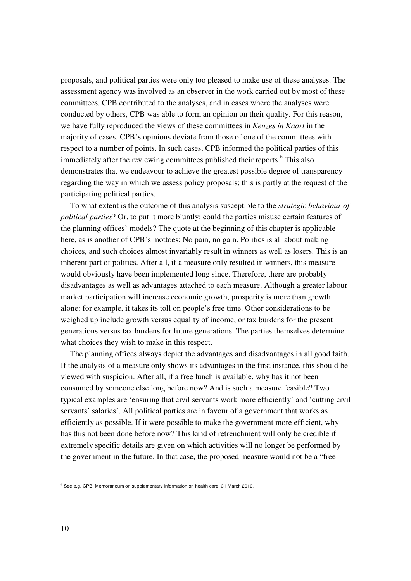proposals, and political parties were only too pleased to make use of these analyses. The assessment agency was involved as an observer in the work carried out by most of these committees. CPB contributed to the analyses, and in cases where the analyses were conducted by others, CPB was able to form an opinion on their quality. For this reason, we have fully reproduced the views of these committees in *Keuzes in Kaart* in the majority of cases. CPB's opinions deviate from those of one of the committees with respect to a number of points. In such cases, CPB informed the political parties of this immediately after the reviewing committees published their reports.<sup>6</sup> This also demonstrates that we endeavour to achieve the greatest possible degree of transparency regarding the way in which we assess policy proposals; this is partly at the request of the participating political parties.

To what extent is the outcome of this analysis susceptible to the *strategic behaviour of political parties*? Or, to put it more bluntly: could the parties misuse certain features of the planning offices' models? The quote at the beginning of this chapter is applicable here, as is another of CPB's mottoes: No pain, no gain. Politics is all about making choices, and such choices almost invariably result in winners as well as losers. This is an inherent part of politics. After all, if a measure only resulted in winners, this measure would obviously have been implemented long since. Therefore, there are probably disadvantages as well as advantages attached to each measure. Although a greater labour market participation will increase economic growth, prosperity is more than growth alone: for example, it takes its toll on people's free time. Other considerations to be weighed up include growth versus equality of income, or tax burdens for the present generations versus tax burdens for future generations. The parties themselves determine what choices they wish to make in this respect.

The planning offices always depict the advantages and disadvantages in all good faith. If the analysis of a measure only shows its advantages in the first instance, this should be viewed with suspicion. After all, if a free lunch is available, why has it not been consumed by someone else long before now? And is such a measure feasible? Two typical examples are 'ensuring that civil servants work more efficiently' and 'cutting civil servants' salaries'. All political parties are in favour of a government that works as efficiently as possible. If it were possible to make the government more efficient, why has this not been done before now? This kind of retrenchment will only be credible if extremely specific details are given on which activities will no longer be performed by the government in the future. In that case, the proposed measure would not be a "free

-

 $6$  See e.g. CPB, Memorandum on supplementary information on health care, 31 March 2010.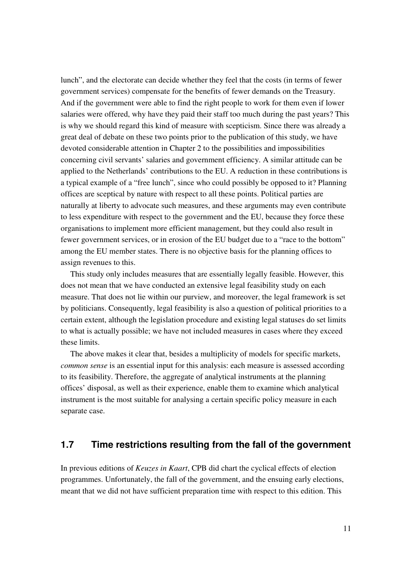lunch", and the electorate can decide whether they feel that the costs (in terms of fewer government services) compensate for the benefits of fewer demands on the Treasury. And if the government were able to find the right people to work for them even if lower salaries were offered, why have they paid their staff too much during the past years? This is why we should regard this kind of measure with scepticism. Since there was already a great deal of debate on these two points prior to the publication of this study, we have devoted considerable attention in Chapter 2 to the possibilities and impossibilities concerning civil servants' salaries and government efficiency. A similar attitude can be applied to the Netherlands' contributions to the EU. A reduction in these contributions is a typical example of a "free lunch", since who could possibly be opposed to it? Planning offices are sceptical by nature with respect to all these points. Political parties are naturally at liberty to advocate such measures, and these arguments may even contribute to less expenditure with respect to the government and the EU, because they force these organisations to implement more efficient management, but they could also result in fewer government services, or in erosion of the EU budget due to a "race to the bottom" among the EU member states. There is no objective basis for the planning offices to assign revenues to this.

This study only includes measures that are essentially legally feasible. However, this does not mean that we have conducted an extensive legal feasibility study on each measure. That does not lie within our purview, and moreover, the legal framework is set by politicians. Consequently, legal feasibility is also a question of political priorities to a certain extent, although the legislation procedure and existing legal statuses do set limits to what is actually possible; we have not included measures in cases where they exceed these limits.

The above makes it clear that, besides a multiplicity of models for specific markets, *common sense* is an essential input for this analysis: each measure is assessed according to its feasibility. Therefore, the aggregate of analytical instruments at the planning offices' disposal, as well as their experience, enable them to examine which analytical instrument is the most suitable for analysing a certain specific policy measure in each separate case.

## **1.7 Time restrictions resulting from the fall of the government**

In previous editions of *Keuzes in Kaart*, CPB did chart the cyclical effects of election programmes. Unfortunately, the fall of the government, and the ensuing early elections, meant that we did not have sufficient preparation time with respect to this edition. This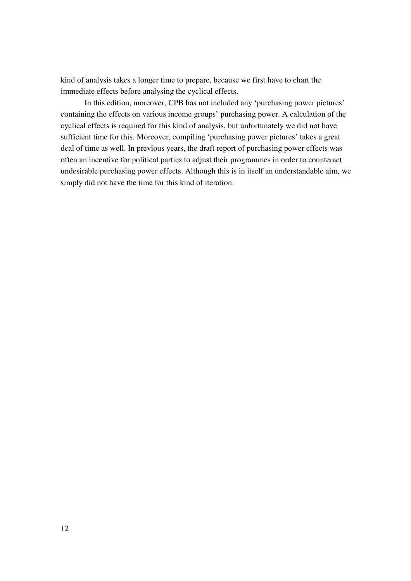kind of analysis takes a longer time to prepare, because we first have to chart the immediate effects before analysing the cyclical effects.

 In this edition, moreover, CPB has not included any 'purchasing power pictures' containing the effects on various income groups' purchasing power. A calculation of the cyclical effects is required for this kind of analysis, but unfortunately we did not have sufficient time for this. Moreover, compiling 'purchasing power pictures' takes a great deal of time as well. In previous years, the draft report of purchasing power effects was often an incentive for political parties to adjust their programmes in order to counteract undesirable purchasing power effects. Although this is in itself an understandable aim, we simply did not have the time for this kind of iteration.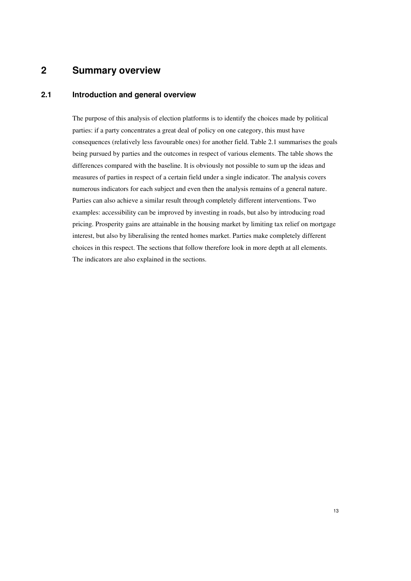## **2 Summary overview**

### **2.1 Introduction and general overview**

The purpose of this analysis of election platforms is to identify the choices made by political parties: if a party concentrates a great deal of policy on one category, this must have consequences (relatively less favourable ones) for another field. Table 2.1 summarises the goals being pursued by parties and the outcomes in respect of various elements. The table shows the differences compared with the baseline. It is obviously not possible to sum up the ideas and measures of parties in respect of a certain field under a single indicator. The analysis covers numerous indicators for each subject and even then the analysis remains of a general nature. Parties can also achieve a similar result through completely different interventions. Two examples: accessibility can be improved by investing in roads, but also by introducing road pricing. Prosperity gains are attainable in the housing market by limiting tax relief on mortgage interest, but also by liberalising the rented homes market. Parties make completely different choices in this respect. The sections that follow therefore look in more depth at all elements. The indicators are also explained in the sections.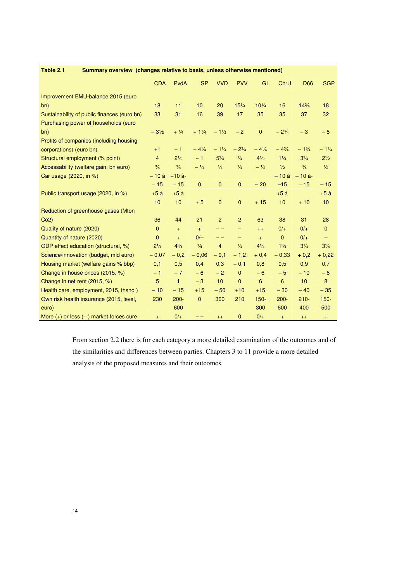| Table 2.1<br>Summary overview (changes relative to basis, unless otherwise mentioned) |                 |                 |                 |                 |                          |                 |                |                 |                          |
|---------------------------------------------------------------------------------------|-----------------|-----------------|-----------------|-----------------|--------------------------|-----------------|----------------|-----------------|--------------------------|
|                                                                                       | <b>CDA</b>      | PvdA            | <b>SP</b>       | <b>VVD</b>      | <b>PVV</b>               | GL              | ChrU           | <b>D66</b>      | <b>SGP</b>               |
| Improvement EMU-balance 2015 (euro                                                    |                 |                 |                 |                 |                          |                 |                |                 |                          |
| bn)                                                                                   | 18              | 11              | 10              | 20              | $15\frac{3}{4}$          | $10^{1/4}$      | 16             | $14^{3}/4$      | 18                       |
| Sustainability of public finances (euro bn)                                           | 33              | 31              | 16              | 39              | 17                       | 35              | 35             | 37              | 32                       |
| Purchasing power of households (euro                                                  |                 |                 |                 |                 |                          |                 |                |                 |                          |
| bn)                                                                                   | $-3\frac{1}{2}$ | $+ \frac{1}{4}$ | $+1\frac{1}{4}$ | $-1\frac{1}{2}$ | $-2$                     | $\overline{0}$  | $-2^{3/4}$     | $-3$            | $-8$                     |
| Profits of companies (including housing                                               |                 |                 |                 |                 |                          |                 |                |                 |                          |
| corporations) (euro bn)                                                               | $+1$            | $-1$            | $-4\frac{1}{4}$ | $-1\frac{1}{4}$ | $-2^{3/4}$               | $-4^{1/4}$      | $-4^{3}/_{4}$  | $-1\frac{3}{4}$ | $-1\frac{1}{4}$          |
| Structural employment (% point)                                                       | $\overline{4}$  | $2\frac{1}{2}$  | $-1$            | $5^{3}/4$       | $\frac{1}{4}$            | $4\frac{1}{2}$  | $1\frac{1}{4}$ | $3^{3}/4$       | $2\frac{1}{2}$           |
| Accessability (welfare gain, bn euro)                                                 | $\frac{3}{4}$   | $\frac{3}{4}$   | $-1/4$          | $\frac{1}{4}$   | $\frac{1}{4}$            | $-1/2$          | $\frac{1}{2}$  | $\frac{3}{4}$   | $\frac{1}{2}$            |
| Car usage (2020, in %)                                                                | $-10$ à         | $-10$ à-        |                 |                 |                          |                 | $-10a$         | $-10$ à-        |                          |
|                                                                                       | $-15$           | $-15$           | $\mathbf{0}$    | $\mathbf{0}$    | $\mathbf{0}$             | $-20$           | $-15$          | $-15$           | $-15$                    |
| Public transport usage (2020, in %)                                                   | $+5\ \hat{a}$   | $+5\ \hat{a}$   |                 |                 |                          |                 | $+5\ \hat{a}$  |                 | $+5$ à                   |
|                                                                                       | 10              | 10              | $+5$            | $\mathbf{0}$    | $\mathbf{0}$             | $+15$           | 10             | $+10$           | 10                       |
| Reduction of greenhouse gases (Mton                                                   |                 |                 |                 |                 |                          |                 |                |                 |                          |
| Co2)                                                                                  | 36              | 44              | 21              | 2               | 2                        | 63              | 38             | 31              | 28                       |
| Quality of nature (2020)                                                              | $\mathbf{0}$    | $+$             | $+$             | --              | $\overline{\phantom{0}}$ | $^{++}$         | $0/+$          | $0/+$           | $\mathbf{0}$             |
| Quantity of nature (2020)                                                             | $\mathbf{0}$    | $+$             | $0/-$           | --              | $\qquad \qquad -$        | $+$             | $\mathbf{0}$   | $0/+$           | $\overline{\phantom{0}}$ |
| GDP effect education (structural, %)                                                  | $2^{1/4}$       | $4^{3}/_{4}$    | $\frac{1}{4}$   | $\overline{4}$  | $\frac{1}{4}$            | $4^{1/4}$       | $1^{3}/4$      | $3\frac{1}{4}$  | $3\frac{1}{4}$           |
| Science/innovation (budget, mld euro)                                                 | $-0,07$         | $-0.2$          | $-0.06$         | $-0,1$          | $-1,2$                   | $+0.4$          | $-0.33$        | $+0.2$          | $+0.22$                  |
| Housing market (welfare gains % bbp)                                                  | 0,1             | 0,5             | 0,4             | 0,3             | $-0,1$                   | 0,8             | 0,5            | 0.9             | 0,7                      |
| Change in house prices (2015, %)                                                      | $-1$            | $-7$            | $-6$            | $-2$            | $\mathbf{0}$             | $-6$            | $-5$           | $-10$           | $-6$                     |
| Change in net rent (2015, %)                                                          | 5               | $\mathbf{1}$    | $-3$            | 10              | $\mathbf{0}$             | $6\phantom{1}6$ | 6              | 10              | 8                        |
| Health care, employment, 2015, thsnd)                                                 | $-10$           | $-15$           | $+15$           | $-50$           | $+10$                    | $+15$           | $-30$          | $-40$           | $-35$                    |
| Own risk health insurance (2015, level,                                               | 230             | $200 -$         | $\mathbf{0}$    | 300             | 210                      | $150 -$         | $200 -$        | $210 -$         | $150 -$                  |
| euro)                                                                                 |                 | 600             |                 |                 |                          | 300             | 600            | 400             | 500                      |
| More $(+)$ or less $(-)$ market forces cure                                           | $+$             | $0/+$           |                 | $++$            | $\mathbf{0}$             | $0/+$           | $+$            | $++$            | $\color{red}{+}$         |

From section 2.2 there is for each category a more detailed examination of the outcomes and of the similarities and differences between parties. Chapters 3 to 11 provide a more detailed analysis of the proposed measures and their outcomes.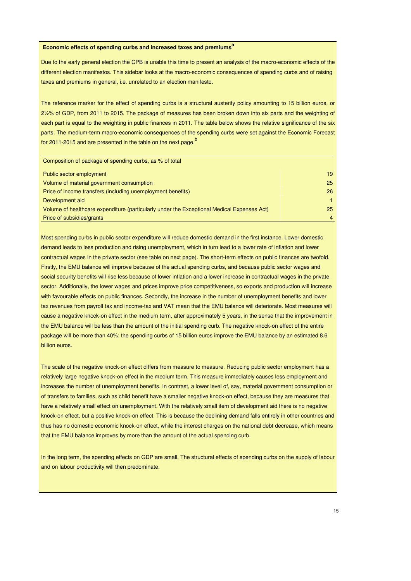#### **Economic effects of spending curbs and increased taxes and premiums<sup>a</sup>**

Due to the early general election the CPB is unable this time to present an analysis of the macro-economic effects of the different election manifestos. This sidebar looks at the macro-economic consequences of spending curbs and of raising taxes and premiums in general, i.e. unrelated to an election manifesto.

The reference marker for the effect of spending curbs is a structural austerity policy amounting to 15 billion euros, or 2½% of GDP, from 2011 to 2015. The package of measures has been broken down into six parts and the weighting of each part is equal to the weighting in public finances in 2011. The table below shows the relative significance of the six parts. The medium-term macro-economic consequences of the spending curbs were set against the Economic Forecast for 2011-2015 and are presented in the table on the next page.<sup>b</sup>

| Composition of package of spending curbs, as % of total                                    |    |
|--------------------------------------------------------------------------------------------|----|
| Public sector employment                                                                   | 19 |
| Volume of material government consumption                                                  | 25 |
| Price of income transfers (including unemployment benefits)                                | 26 |
| Development aid                                                                            |    |
| Volume of healthcare expenditure (particularly under the Exceptional Medical Expenses Act) | 25 |
| Price of subsidies/grants                                                                  | 4  |

Most spending curbs in public sector expenditure will reduce domestic demand in the first instance. Lower domestic demand leads to less production and rising unemployment, which in turn lead to a lower rate of inflation and lower contractual wages in the private sector (see table on next page). The short-term effects on public finances are twofold. Firstly, the EMU balance will improve because of the actual spending curbs, and because public sector wages and social security benefits will rise less because of lower inflation and a lower increase in contractual wages in the private sector. Additionally, the lower wages and prices improve price competitiveness, so exports and production will increase with favourable effects on public finances. Secondly, the increase in the number of unemployment benefits and lower tax revenues from payroll tax and income-tax and VAT mean that the EMU balance will deteriorate. Most measures will cause a negative knock-on effect in the medium term, after approximately 5 years, in the sense that the improvement in the EMU balance will be less than the amount of the initial spending curb. The negative knock-on effect of the entire package will be more than 40%: the spending curbs of 15 billion euros improve the EMU balance by an estimated 8.6 billion euros.

The scale of the negative knock-on effect differs from measure to measure. Reducing public sector employment has a relatively large negative knock-on effect in the medium term. This measure immediately causes less employment and increases the number of unemployment benefits. In contrast, a lower level of, say, material government consumption or of transfers to families, such as child benefit have a smaller negative knock-on effect, because they are measures that have a relatively small effect on unemployment. With the relatively small item of development aid there is no negative knock-on effect, but a positive knock-on effect. This is because the declining demand falls entirely in other countries and thus has no domestic economic knock-on effect, while the interest charges on the national debt decrease, which means that the EMU balance improves by more than the amount of the actual spending curb.

In the long term, the spending effects on GDP are small. The structural effects of spending curbs on the supply of labour and on labour productivity will then predominate.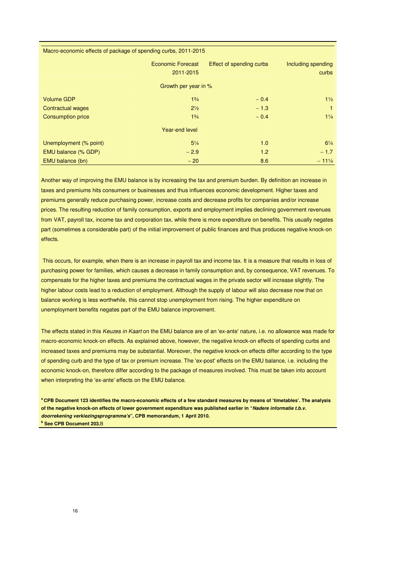| Macro-economic effects of package of spending curbs, 2011-2015 |                          |                          |                    |
|----------------------------------------------------------------|--------------------------|--------------------------|--------------------|
|                                                                | <b>Economic Forecast</b> | Effect of spending curbs | Including spending |
|                                                                | 2011-2015                |                          | curbs              |
|                                                                | Growth per year in %     |                          |                    |
| <b>Volume GDP</b>                                              | $1\frac{3}{4}$           | $-0.4$                   | $1\frac{1}{2}$     |
| <b>Contractual wages</b>                                       | $2\frac{1}{2}$           | $-1.3$                   | 1                  |
| <b>Consumption price</b>                                       | $1^{3}/_{4}$             | $-0.4$                   | $1\frac{1}{4}$     |
|                                                                | Year-end level           |                          |                    |
| Unemployment (% point)                                         | $5\frac{1}{4}$           | 1.0                      | $6\frac{1}{4}$     |
| EMU balance (% GDP)                                            | $-2.9$                   | 1.2                      | $-1.7$             |
| EMU balance (bn)                                               | $-20$                    | 8.6                      | $-11\frac{1}{4}$   |

Another way of improving the EMU balance is by increasing the tax and premium burden. By definition an increase in taxes and premiums hits consumers or businesses and thus influences economic development. Higher taxes and premiums generally reduce purchasing power, increase costs and decrease profits for companies and/or increase prices. The resulting reduction of family consumption, exports and employment implies declining government revenues from VAT, payroll tax, income tax and corporation tax, while there is more expenditure on benefits. This usually negates part (sometimes a considerable part) of the initial improvement of public finances and thus produces negative knock-on effects.

 This occurs, for example, when there is an increase in payroll tax and income tax. It is a measure that results in loss of purchasing power for families, which causes a decrease in family consumption and, by consequence, VAT revenues. To compensate for the higher taxes and premiums the contractual wages in the private sector will increase slightly. The higher labour costs lead to a reduction of employment. Although the supply of labour will also decrease now that on balance working is less worthwhile, this cannot stop unemployment from rising. The higher expenditure on unemployment benefits negates part of the EMU balance improvement.

The effects stated in this Keuzes in Kaart on the EMU balance are of an 'ex-ante' nature, i.e. no allowance was made for macro-economic knock-on effects. As explained above, however, the negative knock-on effects of spending curbs and increased taxes and premiums may be substantial. Moreover, the negative knock-on effects differ according to the type of spending curb and the type of tax or premium increase. The 'ex-post' effects on the EMU balance, i.e. including the economic knock-on, therefore differ according to the package of measures involved. This must be taken into account when interpreting the 'ex-ante' effects on the EMU balance.

**<sup>a</sup>CPB Document 123 identifies the macro-economic effects of a few standard measures by means of 'timetables'. The analysis of the negative knock-on effects of lower government expenditure was published earlier in "Nadere informatie t.b.v. doorrekening verkiezingsprogramma's", CPB memorandum, 1 April 2010. b See CPB Document 203.**B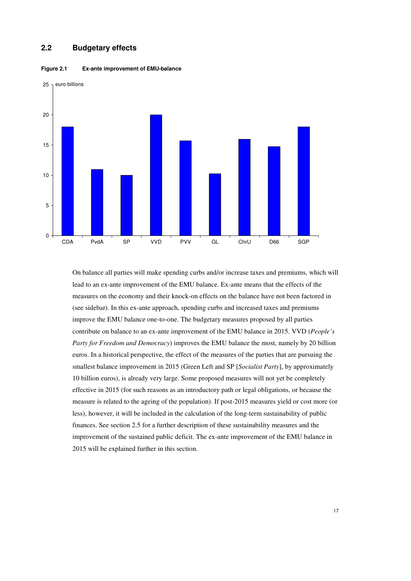#### **2.2 Budgetary effects**



**Figure 2.1 Ex-ante improvement of EMU-balance** 

On balance all parties will make spending curbs and/or increase taxes and premiums, which will lead to an ex-ante improvement of the EMU balance. Ex-ante means that the effects of the measures on the economy and their knock-on effects on the balance have not been factored in (see sidebar). In this ex-ante approach, spending curbs and increased taxes and premiums improve the EMU balance one-to-one. The budgetary measures proposed by all parties contribute on balance to an ex-ante improvement of the EMU balance in 2015. VVD (*People's Party for Freedom and Democracy*) improves the EMU balance the most, namely by 20 billion euros. In a historical perspective, the effect of the measures of the parties that are pursuing the smallest balance improvement in 2015 (Green Left and SP [*Socialist Party*], by approximately 10 billion euros), is already very large. Some proposed measures will not yet be completely effective in 2015 (for such reasons as an introductory path or legal obligations, or because the measure is related to the ageing of the population). If post-2015 measures yield or cost more (or less), however, it will be included in the calculation of the long-term sustainability of public finances. See section 2.5 for a further description of these sustainability measures and the improvement of the sustained public deficit. The ex-ante improvement of the EMU balance in 2015 will be explained further in this section.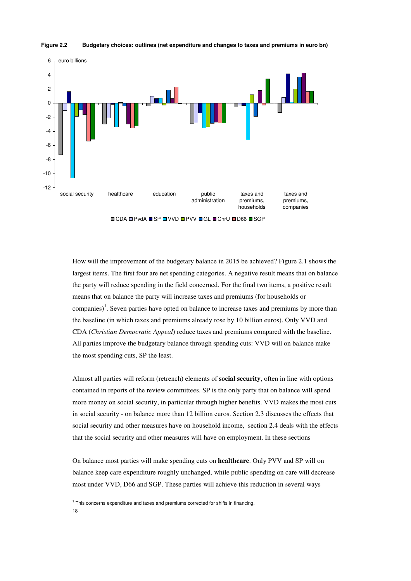

#### **Figure 2.2 Budgetary choices: outlines (net expenditure and changes to taxes and premiums in euro bn)**

How will the improvement of the budgetary balance in 2015 be achieved? Figure 2.1 shows the largest items. The first four are net spending categories. A negative result means that on balance the party will reduce spending in the field concerned. For the final two items, a positive result means that on balance the party will increase taxes and premiums (for households or companies)<sup>1</sup>. Seven parties have opted on balance to increase taxes and premiums by more than the baseline (in which taxes and premiums already rose by 10 billion euros). Only VVD and CDA (*Christian Democratic Appeal*) reduce taxes and premiums compared with the baseline. All parties improve the budgetary balance through spending cuts: VVD will on balance make the most spending cuts, SP the least.

Almost all parties will reform (retrench) elements of **social security**, often in line with options contained in reports of the review committees. SP is the only party that on balance will spend more money on social security, in particular through higher benefits. VVD makes the most cuts in social security - on balance more than 12 billion euros. Section 2.3 discusses the effects that social security and other measures have on household income, section 2.4 deals with the effects that the social security and other measures will have on employment. In these sections

On balance most parties will make spending cuts on **healthcare**. Only PVV and SP will on balance keep care expenditure roughly unchanged, while public spending on care will decrease most under VVD, D66 and SGP. These parties will achieve this reduction in several ways

18 <sup>1</sup> This concerns expenditure and taxes and premiums corrected for shifts in financing.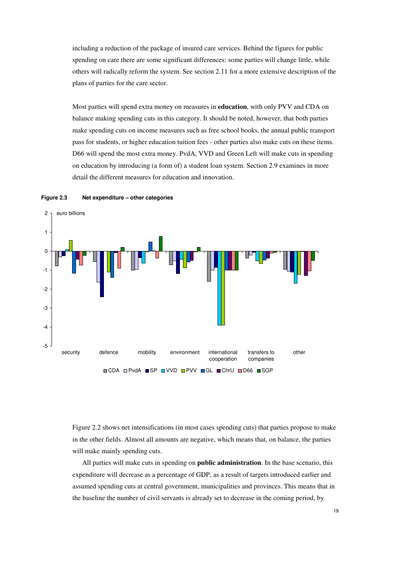including a reduction of the package of insured care services. Behind the figures for public spending on care there are some significant differences: some parties will change little, while others will radically reform the system. See section 2.11 for a more extensive description of the plans of parties for the care sector.

Most parties will spend extra money on measures in **education**, with only PVV and CDA on balance making spending cuts in this category. It should be noted, however, that both parties make spending cuts on income measures such as free school books, the annual public transport pass for students, or higher education tuition fees - other parties also make cuts on these items. D66 will spend the most extra money. PvdA, VVD and Green Left will make cuts in spending on education by introducing (a form of) a student loan system. Section 2.9 examines in more detail the different measures for education and innovation.





Figure 2.2 shows net intensifications (in most cases spending cuts) that parties propose to make in the other fields. Almost all amounts are negative, which means that, on balance, the parties will make mainly spending cuts.

All parties will make cuts in spending on **public administration**. In the base scenario, this expenditure will decrease as a percentage of GDP, as a result of targets introduced earlier and assumed spending cuts at central government, municipalities and provinces. This means that in the baseline the number of civil servants is already set to decrease in the coming period, by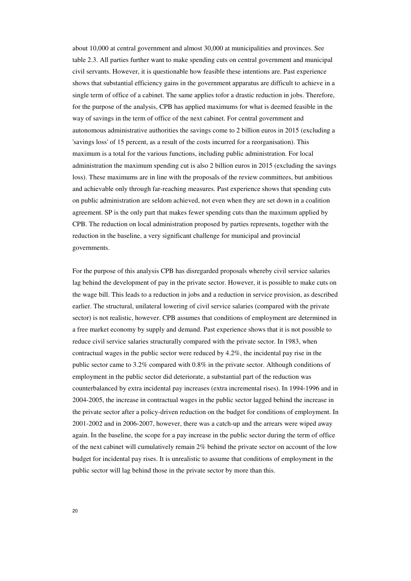about 10,000 at central government and almost 30,000 at municipalities and provinces. See table 2.3. All parties further want to make spending cuts on central government and municipal civil servants. However, it is questionable how feasible these intentions are. Past experience shows that substantial efficiency gains in the government apparatus are difficult to achieve in a single term of office of a cabinet. The same applies tofor a drastic reduction in jobs. Therefore, for the purpose of the analysis, CPB has applied maximums for what is deemed feasible in the way of savings in the term of office of the next cabinet. For central government and autonomous administrative authorities the savings come to 2 billion euros in 2015 (excluding a 'savings loss' of 15 percent, as a result of the costs incurred for a reorganisation). This maximum is a total for the various functions, including public administration. For local administration the maximum spending cut is also 2 billion euros in 2015 (excluding the savings loss). These maximums are in line with the proposals of the review committees, but ambitious and achievable only through far-reaching measures. Past experience shows that spending cuts on public administration are seldom achieved, not even when they are set down in a coalition agreement. SP is the only part that makes fewer spending cuts than the maximum applied by CPB. The reduction on local administration proposed by parties represents, together with the reduction in the baseline, a very significant challenge for municipal and provincial governments.

For the purpose of this analysis CPB has disregarded proposals whereby civil service salaries lag behind the development of pay in the private sector. However, it is possible to make cuts on the wage bill. This leads to a reduction in jobs and a reduction in service provision, as described earlier. The structural, unilateral lowering of civil service salaries (compared with the private sector) is not realistic, however. CPB assumes that conditions of employment are determined in a free market economy by supply and demand. Past experience shows that it is not possible to reduce civil service salaries structurally compared with the private sector. In 1983, when contractual wages in the public sector were reduced by 4.2%, the incidental pay rise in the public sector came to 3.2% compared with 0.8% in the private sector. Although conditions of employment in the public sector did deteriorate, a substantial part of the reduction was counterbalanced by extra incidental pay increases (extra incremental rises). In 1994-1996 and in 2004-2005, the increase in contractual wages in the public sector lagged behind the increase in the private sector after a policy-driven reduction on the budget for conditions of employment. In 2001-2002 and in 2006-2007, however, there was a catch-up and the arrears were wiped away again. In the baseline, the scope for a pay increase in the public sector during the term of office of the next cabinet will cumulatively remain 2% behind the private sector on account of the low budget for incidental pay rises. It is unrealistic to assume that conditions of employment in the public sector will lag behind those in the private sector by more than this.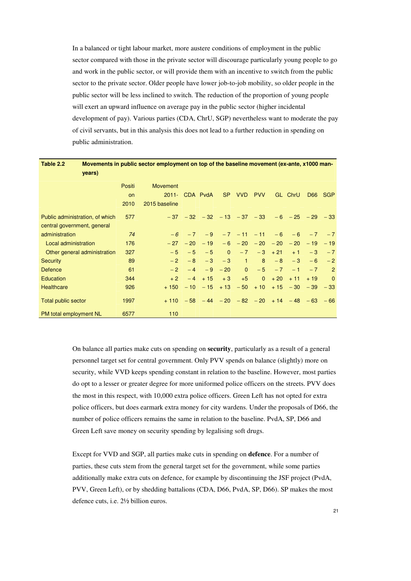In a balanced or tight labour market, more austere conditions of employment in the public sector compared with those in the private sector will discourage particularly young people to go and work in the public sector, or will provide them with an incentive to switch from the public sector to the private sector. Older people have lower job-to-job mobility, so older people in the public sector will be less inclined to switch. The reduction of the proportion of young people will exert an upward influence on average pay in the public sector (higher incidental development of pay). Various parties (CDA, ChrU, SGP) nevertheless want to moderate the pay of civil servants, but in this analysis this does not lead to a further reduction in spending on public administration.

| Table 2.2<br>years)             |           | Movements in public sector employment on top of the baseline movement (ex-ante, x1000 man- |            |          |            |                |                       |           |                                                              |       |            |
|---------------------------------|-----------|--------------------------------------------------------------------------------------------|------------|----------|------------|----------------|-----------------------|-----------|--------------------------------------------------------------|-------|------------|
|                                 | Positi    | <b>Movement</b>                                                                            |            |          |            |                |                       |           |                                                              |       |            |
|                                 | <b>on</b> | $2011 -$                                                                                   |            | CDA PvdA | SP.        | VVD            | <b>PVV</b>            |           | GL ChrU                                                      | D66   | <b>SGP</b> |
|                                 | 2010      | 2015 baseline                                                                              |            |          |            |                |                       |           |                                                              |       |            |
| Public administration, of which | 577       |                                                                                            |            |          |            |                |                       |           | $-37$ $-32$ $-32$ $-13$ $-37$ $-33$ $-6$ $-25$ $-29$ $-33$   |       |            |
| central government, general     |           |                                                                                            |            |          |            |                |                       |           |                                                              |       |            |
| administration                  | 74        | $-6$                                                                                       | $-7$       | $-9$     |            |                | $-7$ $-11$ $-11$ $-6$ |           | $-6$                                                         | $-7$  | $-7$       |
| Local administration            | 176       |                                                                                            | $-27 - 20$ | $-19$    |            |                |                       |           | $-6$ $-20$ $-20$ $-20$ $-20$ $-19$                           |       | $-19$      |
| Other general administration    | 327       | $-5$                                                                                       | $-5$       | $-5$     | $\Omega$   | $-7$           |                       | $-3 + 21$ | $+1$                                                         | $-3$  | $-7$       |
| <b>Security</b>                 | 89        | $-2$                                                                                       | $-8$       | $-3$     | $-3$       | $\mathbf{1}$   | 8 <sup>1</sup>        | $-8$      | $-3$                                                         | $-6$  | $-2$       |
| <b>Defence</b>                  | 61        | $-2$                                                                                       | $-4$       |          | $-9 - 20$  | $\overline{0}$ |                       | $-5 - 7$  | $-1$                                                         | $-7$  | 2          |
| Education                       | 344       | $+2$                                                                                       | $-4$       | $+15$    | $+3$       | $+5$           | $\overline{0}$        | $+20$     | $+11$                                                        | $+19$ | $\Omega$   |
| <b>Healthcare</b>               | 926       | $+150$                                                                                     | $-10$      |          | $-15 + 13$ | $-50$          | $+10$                 |           | $+15 - 30$                                                   | $-39$ | $-33$      |
| <b>Total public sector</b>      | 1997      |                                                                                            |            |          |            |                |                       |           | $+110$ $-58$ $-44$ $-20$ $-82$ $-20$ $+14$ $-48$ $-63$ $-66$ |       |            |
| PM total employment NL          | 6577      | 110                                                                                        |            |          |            |                |                       |           |                                                              |       |            |

On balance all parties make cuts on spending on **security**, particularly as a result of a general personnel target set for central government. Only PVV spends on balance (slightly) more on security, while VVD keeps spending constant in relation to the baseline. However, most parties do opt to a lesser or greater degree for more uniformed police officers on the streets. PVV does the most in this respect, with 10,000 extra police officers. Green Left has not opted for extra police officers, but does earmark extra money for city wardens. Under the proposals of D66, the number of police officers remains the same in relation to the baseline. PvdA, SP, D66 and Green Left save money on security spending by legalising soft drugs.

Except for VVD and SGP, all parties make cuts in spending on **defence**. For a number of parties, these cuts stem from the general target set for the government, while some parties additionally make extra cuts on defence, for example by discontinuing the JSF project (PvdA, PVV, Green Left), or by shedding battalions (CDA, D66, PvdA, SP, D66). SP makes the most defence cuts, i.e. 2½ billion euros.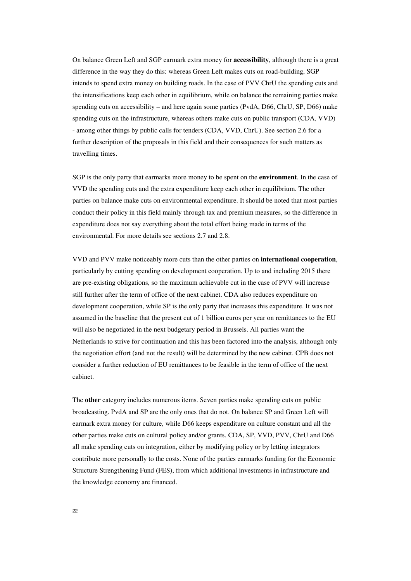On balance Green Left and SGP earmark extra money for **accessibility**, although there is a great difference in the way they do this: whereas Green Left makes cuts on road-building, SGP intends to spend extra money on building roads. In the case of PVV ChrU the spending cuts and the intensifications keep each other in equilibrium, while on balance the remaining parties make spending cuts on accessibility – and here again some parties (PvdA, D66, ChrU, SP, D66) make spending cuts on the infrastructure, whereas others make cuts on public transport (CDA, VVD) - among other things by public calls for tenders (CDA, VVD, ChrU). See section 2.6 for a further description of the proposals in this field and their consequences for such matters as travelling times.

SGP is the only party that earmarks more money to be spent on the **environment**. In the case of VVD the spending cuts and the extra expenditure keep each other in equilibrium. The other parties on balance make cuts on environmental expenditure. It should be noted that most parties conduct their policy in this field mainly through tax and premium measures, so the difference in expenditure does not say everything about the total effort being made in terms of the environmental. For more details see sections 2.7 and 2.8.

VVD and PVV make noticeably more cuts than the other parties on **international cooperation**, particularly by cutting spending on development cooperation. Up to and including 2015 there are pre-existing obligations, so the maximum achievable cut in the case of PVV will increase still further after the term of office of the next cabinet. CDA also reduces expenditure on development cooperation, while SP is the only party that increases this expenditure. It was not assumed in the baseline that the present cut of 1 billion euros per year on remittances to the EU will also be negotiated in the next budgetary period in Brussels. All parties want the Netherlands to strive for continuation and this has been factored into the analysis, although only the negotiation effort (and not the result) will be determined by the new cabinet. CPB does not consider a further reduction of EU remittances to be feasible in the term of office of the next cabinet.

The **other** category includes numerous items. Seven parties make spending cuts on public broadcasting. PvdA and SP are the only ones that do not. On balance SP and Green Left will earmark extra money for culture, while D66 keeps expenditure on culture constant and all the other parties make cuts on cultural policy and/or grants. CDA, SP, VVD, PVV, ChrU and D66 all make spending cuts on integration, either by modifying policy or by letting integrators contribute more personally to the costs. None of the parties earmarks funding for the Economic Structure Strengthening Fund (FES), from which additional investments in infrastructure and the knowledge economy are financed.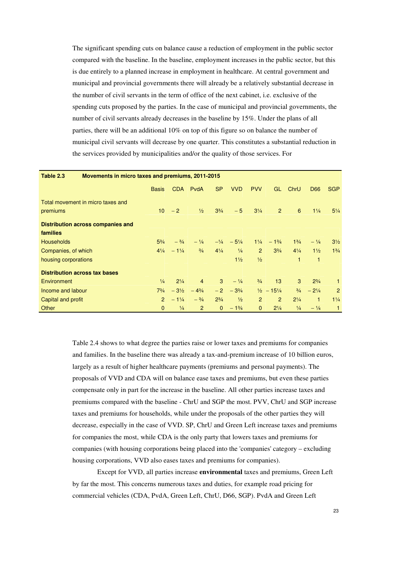The significant spending cuts on balance cause a reduction of employment in the public sector compared with the baseline. In the baseline, employment increases in the public sector, but this is due entirely to a planned increase in employment in healthcare. At central government and municipal and provincial governments there will already be a relatively substantial decrease in the number of civil servants in the term of office of the next cabinet, i.e. exclusive of the spending cuts proposed by the parties. In the case of municipal and provincial governments, the number of civil servants already decreases in the baseline by 15%. Under the plans of all parties, there will be an additional 10% on top of this figure so on balance the number of municipal civil servants will decrease by one quarter. This constitutes a substantial reduction in the services provided by municipalities and/or the quality of those services. For

| Movements in micro taxes and premiums, 2011-2015<br>Table 2.3 |                 |                 |                 |                |                   |                |                                  |                |                 |                |  |  |
|---------------------------------------------------------------|-----------------|-----------------|-----------------|----------------|-------------------|----------------|----------------------------------|----------------|-----------------|----------------|--|--|
|                                                               | <b>Basis</b>    | <b>CDA</b>      | PvdA            | <b>SP</b>      | <b>VVD</b>        | <b>PVV</b>     | GL                               | ChrU           | D <sub>66</sub> | <b>SGP</b>     |  |  |
| Total movement in micro taxes and                             |                 |                 |                 |                |                   |                |                                  |                |                 |                |  |  |
| premiums                                                      | 10 <sup>1</sup> | $-2$            | $\frac{1}{2}$   | $3^{3}/4$      | $-5$              | $3\frac{1}{4}$ | 2                                | 6              | $1\frac{1}{4}$  | $5\frac{1}{4}$ |  |  |
| Distribution across companies and                             |                 |                 |                 |                |                   |                |                                  |                |                 |                |  |  |
| families                                                      |                 |                 |                 |                |                   |                |                                  |                |                 |                |  |  |
| <b>Households</b>                                             | $5^{3}/_{4}$    | $- \frac{3}{4}$ | $-1/4$          |                | $-1/4$ $-5^{1}/4$ |                | $1\frac{1}{4}$ - $1\frac{3}{4}$  | $1^{3}/_{4}$   | $- \frac{1}{4}$ | $3\frac{1}{2}$ |  |  |
| Companies, of which                                           | $4\frac{1}{4}$  | $-1\frac{1}{4}$ | $\frac{3}{4}$   | $4\frac{1}{4}$ | $\frac{1}{4}$     | $\overline{2}$ | $3^{3}/4$                        | $4\frac{1}{4}$ | $1\frac{1}{2}$  | $1^{3}/4$      |  |  |
| housing corporations                                          |                 |                 |                 |                | $1\frac{1}{2}$    | $\frac{1}{2}$  |                                  | 1              | 1               |                |  |  |
| <b>Distribution across tax bases</b>                          |                 |                 |                 |                |                   |                |                                  |                |                 |                |  |  |
| Environment                                                   | $\frac{1}{4}$   | $2^{1/4}$       | $\overline{4}$  | 3              | $-1/4$            | $\frac{3}{4}$  | 13                               | 3              | $2^{3}/4$       | 1              |  |  |
| Income and labour                                             | $7^{3}/_{4}$    | $-3\frac{1}{2}$ | $-4\frac{3}{4}$ | $-2$           | $-3\frac{3}{4}$   |                | $\frac{1}{2}$ - 15 $\frac{1}{4}$ | $\frac{3}{4}$  | $-2\frac{1}{4}$ | 2              |  |  |
| Capital and profit                                            | $\overline{2}$  | $-1\frac{1}{4}$ | $- \frac{3}{4}$ | $2^{3}/4$      | $\frac{1}{2}$     | $\overline{2}$ | 2                                | $2^{1/4}$      | 1.              | $1\frac{1}{4}$ |  |  |
| Other                                                         | $\mathbf{0}$    | $\frac{1}{4}$   | 2               | $\Omega$       | $-1\frac{3}{4}$   | $\Omega$       | $2^{1/4}$                        | $\frac{1}{4}$  | $-1/4$          | $\mathbf{1}$   |  |  |

Table 2.4 shows to what degree the parties raise or lower taxes and premiums for companies and families. In the baseline there was already a tax-and-premium increase of 10 billion euros, largely as a result of higher healthcare payments (premiums and personal payments). The proposals of VVD and CDA will on balance ease taxes and premiums, but even these parties compensate only in part for the increase in the baseline. All other parties increase taxes and premiums compared with the baseline - ChrU and SGP the most. PVV, ChrU and SGP increase taxes and premiums for households, while under the proposals of the other parties they will decrease, especially in the case of VVD. SP, ChrU and Green Left increase taxes and premiums for companies the most, while CDA is the only party that lowers taxes and premiums for companies (with housing corporations being placed into the 'companies' category – excluding housing corporations, VVD also eases taxes and premiums for companies).

Except for VVD, all parties increase **environmental** taxes and premiums, Green Left by far the most. This concerns numerous taxes and duties, for example road pricing for commercial vehicles (CDA, PvdA, Green Left, ChrU, D66, SGP). PvdA and Green Left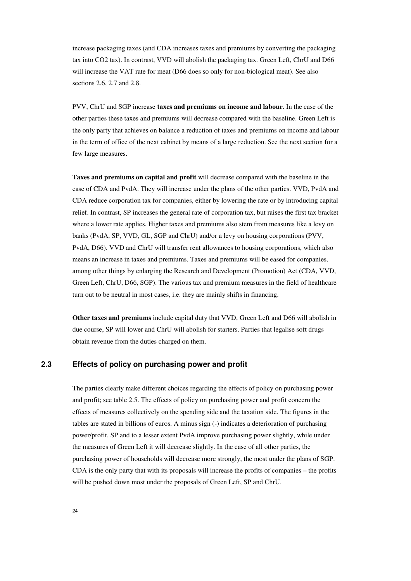increase packaging taxes (and CDA increases taxes and premiums by converting the packaging tax into CO2 tax). In contrast, VVD will abolish the packaging tax. Green Left, ChrU and D66 will increase the VAT rate for meat (D66 does so only for non-biological meat). See also sections 2.6, 2.7 and 2.8.

PVV, ChrU and SGP increase **taxes and premiums on income and labour**. In the case of the other parties these taxes and premiums will decrease compared with the baseline. Green Left is the only party that achieves on balance a reduction of taxes and premiums on income and labour in the term of office of the next cabinet by means of a large reduction. See the next section for a few large measures.

**Taxes and premiums on capital and profit** will decrease compared with the baseline in the case of CDA and PvdA. They will increase under the plans of the other parties. VVD, PvdA and CDA reduce corporation tax for companies, either by lowering the rate or by introducing capital relief. In contrast, SP increases the general rate of corporation tax, but raises the first tax bracket where a lower rate applies. Higher taxes and premiums also stem from measures like a levy on banks (PvdA, SP, VVD, GL, SGP and ChrU) and/or a levy on housing corporations (PVV, PvdA, D66). VVD and ChrU will transfer rent allowances to housing corporations, which also means an increase in taxes and premiums. Taxes and premiums will be eased for companies, among other things by enlarging the Research and Development (Promotion) Act (CDA, VVD, Green Left, ChrU, D66, SGP). The various tax and premium measures in the field of healthcare turn out to be neutral in most cases, i.e. they are mainly shifts in financing.

**Other taxes and premiums** include capital duty that VVD, Green Left and D66 will abolish in due course, SP will lower and ChrU will abolish for starters. Parties that legalise soft drugs obtain revenue from the duties charged on them.

### **2.3 Effects of policy on purchasing power and profit**

The parties clearly make different choices regarding the effects of policy on purchasing power and profit; see table 2.5. The effects of policy on purchasing power and profit concern the effects of measures collectively on the spending side and the taxation side. The figures in the tables are stated in billions of euros. A minus sign (-) indicates a deterioration of purchasing power/profit. SP and to a lesser extent PvdA improve purchasing power slightly, while under the measures of Green Left it will decrease slightly. In the case of all other parties, the purchasing power of households will decrease more strongly, the most under the plans of SGP. CDA is the only party that with its proposals will increase the profits of companies – the profits will be pushed down most under the proposals of Green Left, SP and ChrU.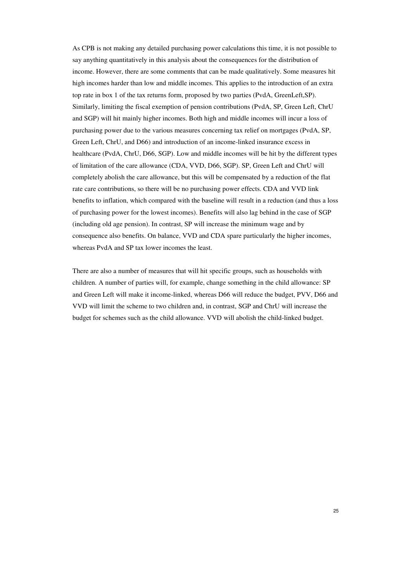As CPB is not making any detailed purchasing power calculations this time, it is not possible to say anything quantitatively in this analysis about the consequences for the distribution of income. However, there are some comments that can be made qualitatively. Some measures hit high incomes harder than low and middle incomes. This applies to the introduction of an extra top rate in box 1 of the tax returns form, proposed by two parties (PvdA, GreenLeft,SP). Similarly, limiting the fiscal exemption of pension contributions (PvdA, SP, Green Left, ChrU and SGP) will hit mainly higher incomes. Both high and middle incomes will incur a loss of purchasing power due to the various measures concerning tax relief on mortgages (PvdA, SP, Green Left, ChrU, and D66) and introduction of an income-linked insurance excess in healthcare (PvdA, ChrU, D66, SGP). Low and middle incomes will be hit by the different types of limitation of the care allowance (CDA, VVD, D66, SGP). SP, Green Left and ChrU will completely abolish the care allowance, but this will be compensated by a reduction of the flat rate care contributions, so there will be no purchasing power effects. CDA and VVD link benefits to inflation, which compared with the baseline will result in a reduction (and thus a loss of purchasing power for the lowest incomes). Benefits will also lag behind in the case of SGP (including old age pension). In contrast, SP will increase the minimum wage and by consequence also benefits. On balance, VVD and CDA spare particularly the higher incomes, whereas PvdA and SP tax lower incomes the least.

There are also a number of measures that will hit specific groups, such as households with children. A number of parties will, for example, change something in the child allowance: SP and Green Left will make it income-linked, whereas D66 will reduce the budget, PVV, D66 and VVD will limit the scheme to two children and, in contrast, SGP and ChrU will increase the budget for schemes such as the child allowance. VVD will abolish the child-linked budget.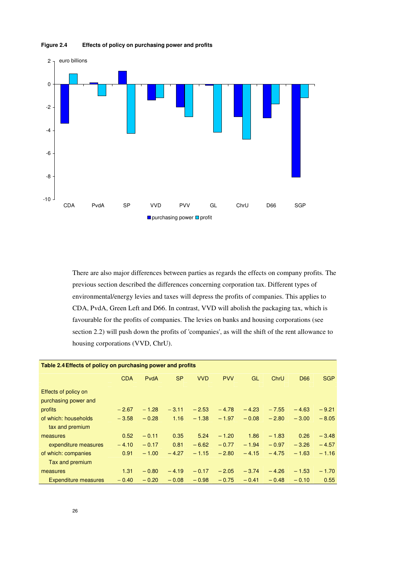



There are also major differences between parties as regards the effects on company profits. The previous section described the differences concerning corporation tax. Different types of environmental/energy levies and taxes will depress the profits of companies. This applies to CDA, PvdA, Green Left and D66. In contrast, VVD will abolish the packaging tax, which is favourable for the profits of companies. The levies on banks and housing corporations (see section 2.2) will push down the profits of 'companies', as will the shift of the rent allowance to housing corporations (VVD, ChrU).

| Table 2.4 Effects of policy on purchasing power and profits |            |         |           |            |            |         |         |         |            |
|-------------------------------------------------------------|------------|---------|-----------|------------|------------|---------|---------|---------|------------|
|                                                             | <b>CDA</b> | PvdA    | <b>SP</b> | <b>VVD</b> | <b>PVV</b> | GL      | ChrU    | D66     | <b>SGP</b> |
| Effects of policy on                                        |            |         |           |            |            |         |         |         |            |
| purchasing power and                                        |            |         |           |            |            |         |         |         |            |
| profits                                                     | $-2.67$    | $-1.28$ | $-3.11$   | $-2.53$    | $-4.78$    | $-4.23$ | $-7.55$ | $-4.63$ | $-9.21$    |
| of which: households                                        | $-3.58$    | $-0.28$ | 1.16      | $-1.38$    | $-1.97$    | $-0.08$ | $-2.80$ | $-3.00$ | $-8.05$    |
| tax and premium                                             |            |         |           |            |            |         |         |         |            |
| measures                                                    | 0.52       | $-0.11$ | 0.35      | 5.24       | $-1.20$    | 1.86    | $-1.83$ | 0.26    | $-3.48$    |
| expenditure measures                                        | $-4.10$    | $-0.17$ | 0.81      | $-6.62$    | $-0.77$    | $-1.94$ | $-0.97$ | $-3.26$ | $-4.57$    |
| of which: companies                                         | 0.91       | $-1.00$ | $-4.27$   | $-1.15$    | $-2.80$    | $-4.15$ | $-4.75$ | $-1.63$ | $-1.16$    |
| Tax and premium                                             |            |         |           |            |            |         |         |         |            |
| measures                                                    | 1.31       | $-0.80$ | $-4.19$   | $-0.17$    | $-2.05$    | $-3.74$ | $-4.26$ | $-1.53$ | $-1.70$    |
| <b>Expenditure measures</b>                                 | $-0.40$    | $-0.20$ | $-0.08$   | $-0.98$    | $-0.75$    | $-0.41$ | $-0.48$ | $-0.10$ | 0.55       |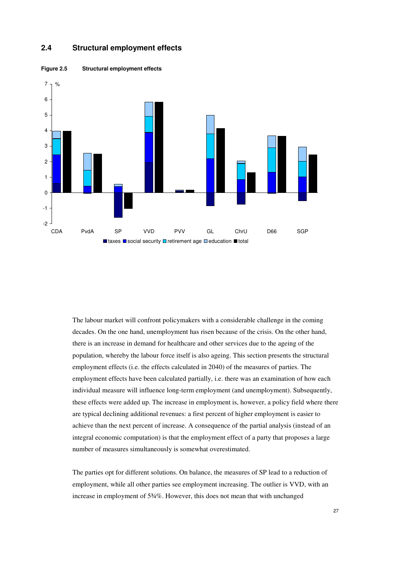



**Figure 2.5 Structural employment effects** 

The labour market will confront policymakers with a considerable challenge in the coming decades. On the one hand, unemployment has risen because of the crisis. On the other hand, there is an increase in demand for healthcare and other services due to the ageing of the population, whereby the labour force itself is also ageing. This section presents the structural employment effects (i.e. the effects calculated in 2040) of the measures of parties. The employment effects have been calculated partially, i.e. there was an examination of how each individual measure will influence long-term employment (and unemployment). Subsequently, these effects were added up. The increase in employment is, however, a policy field where there are typical declining additional revenues: a first percent of higher employment is easier to achieve than the next percent of increase. A consequence of the partial analysis (instead of an integral economic computation) is that the employment effect of a party that proposes a large number of measures simultaneously is somewhat overestimated.

The parties opt for different solutions. On balance, the measures of SP lead to a reduction of employment, while all other parties see employment increasing. The outlier is VVD, with an increase in employment of 5¾%. However, this does not mean that with unchanged

27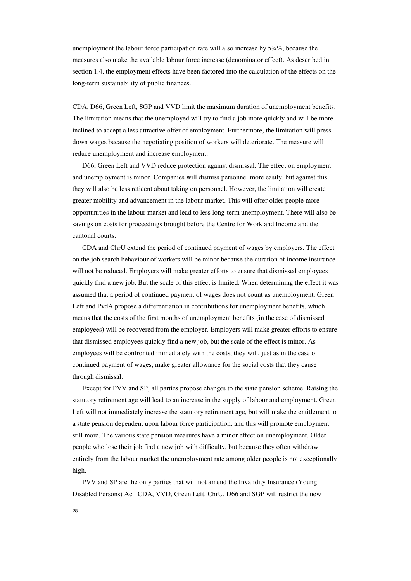unemployment the labour force participation rate will also increase by 5¾%, because the measures also make the available labour force increase (denominator effect). As described in section 1.4, the employment effects have been factored into the calculation of the effects on the long-term sustainability of public finances.

CDA, D66, Green Left, SGP and VVD limit the maximum duration of unemployment benefits. The limitation means that the unemployed will try to find a job more quickly and will be more inclined to accept a less attractive offer of employment. Furthermore, the limitation will press down wages because the negotiating position of workers will deteriorate. The measure will reduce unemployment and increase employment.

D66, Green Left and VVD reduce protection against dismissal. The effect on employment and unemployment is minor. Companies will dismiss personnel more easily, but against this they will also be less reticent about taking on personnel. However, the limitation will create greater mobility and advancement in the labour market. This will offer older people more opportunities in the labour market and lead to less long-term unemployment. There will also be savings on costs for proceedings brought before the Centre for Work and Income and the cantonal courts.

CDA and ChrU extend the period of continued payment of wages by employers. The effect on the job search behaviour of workers will be minor because the duration of income insurance will not be reduced. Employers will make greater efforts to ensure that dismissed employees quickly find a new job. But the scale of this effect is limited. When determining the effect it was assumed that a period of continued payment of wages does not count as unemployment. Green Left and PvdA propose a differentiation in contributions for unemployment benefits, which means that the costs of the first months of unemployment benefits (in the case of dismissed employees) will be recovered from the employer. Employers will make greater efforts to ensure that dismissed employees quickly find a new job, but the scale of the effect is minor. As employees will be confronted immediately with the costs, they will, just as in the case of continued payment of wages, make greater allowance for the social costs that they cause through dismissal.

Except for PVV and SP, all parties propose changes to the state pension scheme. Raising the statutory retirement age will lead to an increase in the supply of labour and employment. Green Left will not immediately increase the statutory retirement age, but will make the entitlement to a state pension dependent upon labour force participation, and this will promote employment still more. The various state pension measures have a minor effect on unemployment. Older people who lose their job find a new job with difficulty, but because they often withdraw entirely from the labour market the unemployment rate among older people is not exceptionally high.

PVV and SP are the only parties that will not amend the Invalidity Insurance (Young Disabled Persons) Act. CDA, VVD, Green Left, ChrU, D66 and SGP will restrict the new

28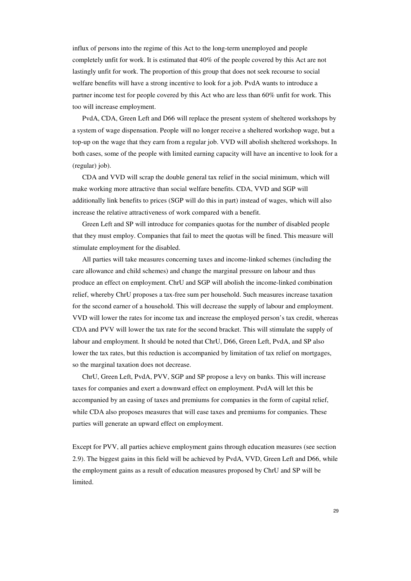influx of persons into the regime of this Act to the long-term unemployed and people completely unfit for work. It is estimated that 40% of the people covered by this Act are not lastingly unfit for work. The proportion of this group that does not seek recourse to social welfare benefits will have a strong incentive to look for a job. PvdA wants to introduce a partner income test for people covered by this Act who are less than 60% unfit for work. This too will increase employment.

PvdA, CDA, Green Left and D66 will replace the present system of sheltered workshops by a system of wage dispensation. People will no longer receive a sheltered workshop wage, but a top-up on the wage that they earn from a regular job. VVD will abolish sheltered workshops. In both cases, some of the people with limited earning capacity will have an incentive to look for a (regular) job).

CDA and VVD will scrap the double general tax relief in the social minimum, which will make working more attractive than social welfare benefits. CDA, VVD and SGP will additionally link benefits to prices (SGP will do this in part) instead of wages, which will also increase the relative attractiveness of work compared with a benefit.

Green Left and SP will introduce for companies quotas for the number of disabled people that they must employ. Companies that fail to meet the quotas will be fined. This measure will stimulate employment for the disabled.

All parties will take measures concerning taxes and income-linked schemes (including the care allowance and child schemes) and change the marginal pressure on labour and thus produce an effect on employment. ChrU and SGP will abolish the income-linked combination relief, whereby ChrU proposes a tax-free sum per household. Such measures increase taxation for the second earner of a household. This will decrease the supply of labour and employment. VVD will lower the rates for income tax and increase the employed person's tax credit, whereas CDA and PVV will lower the tax rate for the second bracket. This will stimulate the supply of labour and employment. It should be noted that ChrU, D66, Green Left, PvdA, and SP also lower the tax rates, but this reduction is accompanied by limitation of tax relief on mortgages, so the marginal taxation does not decrease.

ChrU, Green Left, PvdA, PVV, SGP and SP propose a levy on banks. This will increase taxes for companies and exert a downward effect on employment. PvdA will let this be accompanied by an easing of taxes and premiums for companies in the form of capital relief, while CDA also proposes measures that will ease taxes and premiums for companies. These parties will generate an upward effect on employment.

Except for PVV, all parties achieve employment gains through education measures (see section 2.9). The biggest gains in this field will be achieved by PvdA, VVD, Green Left and D66, while the employment gains as a result of education measures proposed by ChrU and SP will be limited.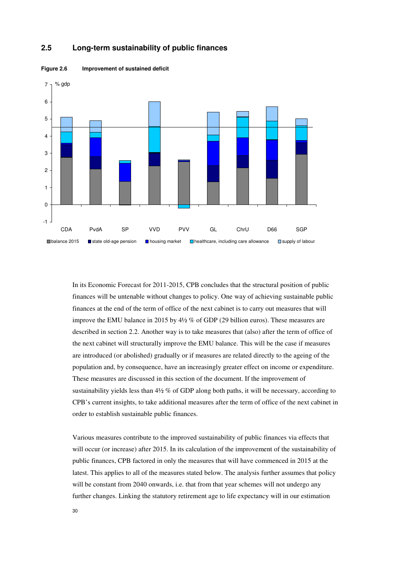

#### **2.5 Long-term sustainability of public finances**



In its Economic Forecast for 2011-2015, CPB concludes that the structural position of public finances will be untenable without changes to policy. One way of achieving sustainable public finances at the end of the term of office of the next cabinet is to carry out measures that will improve the EMU balance in 2015 by 4½ % of GDP (29 billion euros). These measures are described in section 2.2. Another way is to take measures that (also) after the term of office of the next cabinet will structurally improve the EMU balance. This will be the case if measures are introduced (or abolished) gradually or if measures are related directly to the ageing of the population and, by consequence, have an increasingly greater effect on income or expenditure. These measures are discussed in this section of the document. If the improvement of sustainability yields less than  $4\frac{1}{2}$  % of GDP along both paths, it will be necessary, according to CPB's current insights, to take additional measures after the term of office of the next cabinet in order to establish sustainable public finances.

Various measures contribute to the improved sustainability of public finances via effects that will occur (or increase) after 2015. In its calculation of the improvement of the sustainability of public finances, CPB factored in only the measures that will have commenced in 2015 at the latest. This applies to all of the measures stated below. The analysis further assumes that policy will be constant from 2040 onwards, i.e. that from that year schemes will not undergo any further changes. Linking the statutory retirement age to life expectancy will in our estimation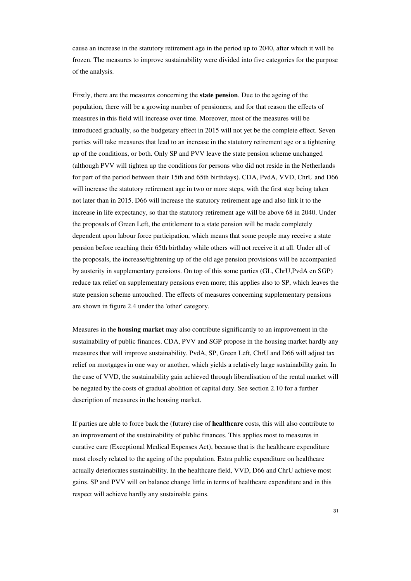cause an increase in the statutory retirement age in the period up to 2040, after which it will be frozen. The measures to improve sustainability were divided into five categories for the purpose of the analysis.

Firstly, there are the measures concerning the **state pension**. Due to the ageing of the population, there will be a growing number of pensioners, and for that reason the effects of measures in this field will increase over time. Moreover, most of the measures will be introduced gradually, so the budgetary effect in 2015 will not yet be the complete effect. Seven parties will take measures that lead to an increase in the statutory retirement age or a tightening up of the conditions, or both. Only SP and PVV leave the state pension scheme unchanged (although PVV will tighten up the conditions for persons who did not reside in the Netherlands for part of the period between their 15th and 65th birthdays). CDA, PvdA, VVD, ChrU and D66 will increase the statutory retirement age in two or more steps, with the first step being taken not later than in 2015. D66 will increase the statutory retirement age and also link it to the increase in life expectancy, so that the statutory retirement age will be above 68 in 2040. Under the proposals of Green Left, the entitlement to a state pension will be made completely dependent upon labour force participation, which means that some people may receive a state pension before reaching their 65th birthday while others will not receive it at all. Under all of the proposals, the increase/tightening up of the old age pension provisions will be accompanied by austerity in supplementary pensions. On top of this some parties (GL, ChrU,PvdA en SGP) reduce tax relief on supplementary pensions even more; this applies also to SP, which leaves the state pension scheme untouched. The effects of measures concerning supplementary pensions are shown in figure 2.4 under the 'other' category.

Measures in the **housing market** may also contribute significantly to an improvement in the sustainability of public finances. CDA, PVV and SGP propose in the housing market hardly any measures that will improve sustainability. PvdA, SP, Green Left, ChrU and D66 will adjust tax relief on mortgages in one way or another, which yields a relatively large sustainability gain. In the case of VVD, the sustainability gain achieved through liberalisation of the rental market will be negated by the costs of gradual abolition of capital duty. See section 2.10 for a further description of measures in the housing market.

If parties are able to force back the (future) rise of **healthcare** costs, this will also contribute to an improvement of the sustainability of public finances. This applies most to measures in curative care (Exceptional Medical Expenses Act), because that is the healthcare expenditure most closely related to the ageing of the population. Extra public expenditure on healthcare actually deteriorates sustainability. In the healthcare field, VVD, D66 and ChrU achieve most gains. SP and PVV will on balance change little in terms of healthcare expenditure and in this respect will achieve hardly any sustainable gains.

31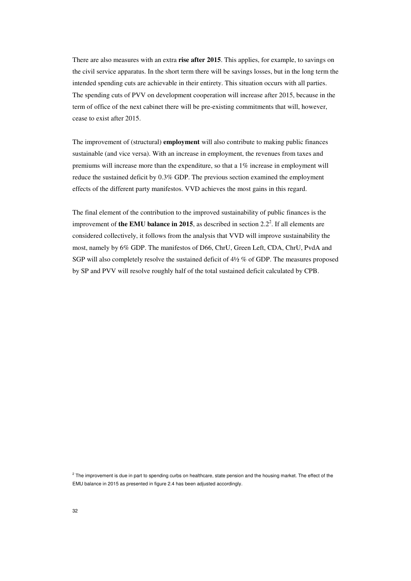There are also measures with an extra **rise after 2015**. This applies, for example, to savings on the civil service apparatus. In the short term there will be savings losses, but in the long term the intended spending cuts are achievable in their entirety. This situation occurs with all parties. The spending cuts of PVV on development cooperation will increase after 2015, because in the term of office of the next cabinet there will be pre-existing commitments that will, however, cease to exist after 2015.

The improvement of (structural) **employment** will also contribute to making public finances sustainable (and vice versa). With an increase in employment, the revenues from taxes and premiums will increase more than the expenditure, so that a 1% increase in employment will reduce the sustained deficit by 0.3% GDP. The previous section examined the employment effects of the different party manifestos. VVD achieves the most gains in this regard.

The final element of the contribution to the improved sustainability of public finances is the improvement of **the EMU balance in 2015**, as described in section  $2.2<sup>2</sup>$ . If all elements are considered collectively, it follows from the analysis that VVD will improve sustainability the most, namely by 6% GDP. The manifestos of D66, ChrU, Green Left, CDA, ChrU, PvdA and SGP will also completely resolve the sustained deficit of 4½ % of GDP. The measures proposed by SP and PVV will resolve roughly half of the total sustained deficit calculated by CPB.

 $^2$  The improvement is due in part to spending curbs on healthcare, state pension and the housing market. The effect of the EMU balance in 2015 as presented in figure 2.4 has been adjusted accordingly.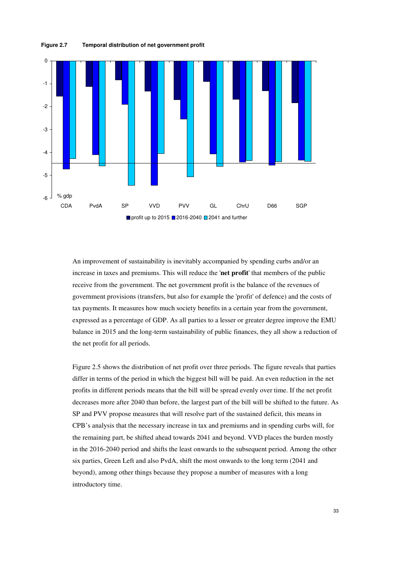

An improvement of sustainability is inevitably accompanied by spending curbs and/or an increase in taxes and premiums. This will reduce the '**net profit**' that members of the public receive from the government. The net government profit is the balance of the revenues of government provisions (transfers, but also for example the 'profit' of defence) and the costs of tax payments. It measures how much society benefits in a certain year from the government, expressed as a percentage of GDP. As all parties to a lesser or greater degree improve the EMU balance in 2015 and the long-term sustainability of public finances, they all show a reduction of the net profit for all periods.

Figure 2.5 shows the distribution of net profit over three periods. The figure reveals that parties differ in terms of the period in which the biggest bill will be paid. An even reduction in the net profits in different periods means that the bill will be spread evenly over time. If the net profit decreases more after 2040 than before, the largest part of the bill will be shifted to the future. As SP and PVV propose measures that will resolve part of the sustained deficit, this means in CPB's analysis that the necessary increase in tax and premiums and in spending curbs will, for the remaining part, be shifted ahead towards 2041 and beyond. VVD places the burden mostly in the 2016-2040 period and shifts the least onwards to the subsequent period. Among the other six parties, Green Left and also PvdA, shift the most onwards to the long term (2041 and beyond), among other things because they propose a number of measures with a long introductory time.

**Figure 2.7 Temporal distribution of net government profit**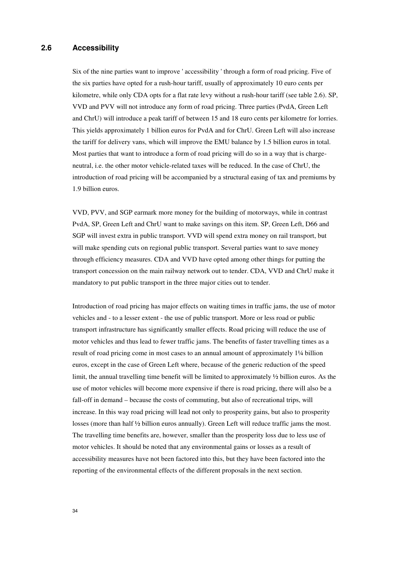#### **2.6 Accessibility**

Six of the nine parties want to improve ' accessibility ' through a form of road pricing. Five of the six parties have opted for a rush-hour tariff, usually of approximately 10 euro cents per kilometre, while only CDA opts for a flat rate levy without a rush-hour tariff (see table 2.6). SP, VVD and PVV will not introduce any form of road pricing. Three parties (PvdA, Green Left and ChrU) will introduce a peak tariff of between 15 and 18 euro cents per kilometre for lorries. This yields approximately 1 billion euros for PvdA and for ChrU. Green Left will also increase the tariff for delivery vans, which will improve the EMU balance by 1.5 billion euros in total. Most parties that want to introduce a form of road pricing will do so in a way that is chargeneutral, i.e. the other motor vehicle-related taxes will be reduced. In the case of ChrU, the introduction of road pricing will be accompanied by a structural easing of tax and premiums by 1.9 billion euros.

VVD, PVV, and SGP earmark more money for the building of motorways, while in contrast PvdA, SP, Green Left and ChrU want to make savings on this item. SP, Green Left, D66 and SGP will invest extra in public transport. VVD will spend extra money on rail transport, but will make spending cuts on regional public transport. Several parties want to save money through efficiency measures. CDA and VVD have opted among other things for putting the transport concession on the main railway network out to tender. CDA, VVD and ChrU make it mandatory to put public transport in the three major cities out to tender.

Introduction of road pricing has major effects on waiting times in traffic jams, the use of motor vehicles and - to a lesser extent - the use of public transport. More or less road or public transport infrastructure has significantly smaller effects. Road pricing will reduce the use of motor vehicles and thus lead to fewer traffic jams. The benefits of faster travelling times as a result of road pricing come in most cases to an annual amount of approximately 1¼ billion euros, except in the case of Green Left where, because of the generic reduction of the speed limit, the annual travelling time benefit will be limited to approximately ½ billion euros. As the use of motor vehicles will become more expensive if there is road pricing, there will also be a fall-off in demand – because the costs of commuting, but also of recreational trips, will increase. In this way road pricing will lead not only to prosperity gains, but also to prosperity losses (more than half ½ billion euros annually). Green Left will reduce traffic jams the most. The travelling time benefits are, however, smaller than the prosperity loss due to less use of motor vehicles. It should be noted that any environmental gains or losses as a result of accessibility measures have not been factored into this, but they have been factored into the reporting of the environmental effects of the different proposals in the next section.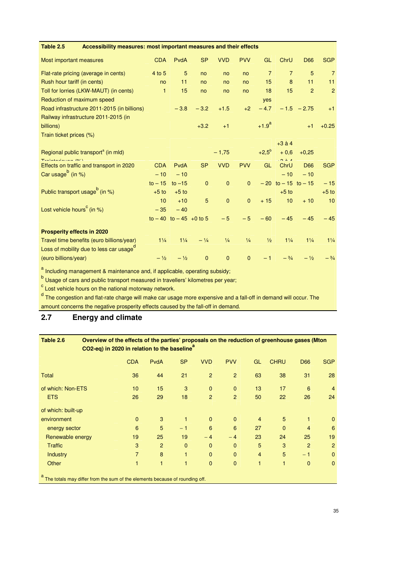| Accessibility measures: most important measures and their effects<br>Table 2.5 |                |                           |              |               |               |                |                         |                |                 |
|--------------------------------------------------------------------------------|----------------|---------------------------|--------------|---------------|---------------|----------------|-------------------------|----------------|-----------------|
| Most important measures                                                        | <b>CDA</b>     | PvdA                      | <b>SP</b>    | <b>VVD</b>    | <b>PVV</b>    | GL             | ChrU                    | <b>D66</b>     | <b>SGP</b>      |
| Flat-rate pricing (average in cents)                                           | 4 to 5         | 5                         | no           | no            | no            | $\overline{7}$ | $\overline{7}$          | 5              | $\overline{7}$  |
| Rush hour tariff (in cents)                                                    | no             | 11                        | no           | no            | no            | 15             | 8                       | 11             | 11              |
| Toll for lorries (LKW-MAUT) (in cents)                                         | $\mathbf{1}$   | 15                        | no           | no            | no            | 18             | 15                      | $\overline{2}$ | $\overline{2}$  |
| Reduction of maximum speed                                                     |                |                           |              |               |               | yes            |                         |                |                 |
| Road infrastructure 2011-2015 (in billions)                                    |                | $-3.8$                    | $-3.2$       | $+1.5$        | $+2$          | $-4.7$         |                         | $-1.5 - 2.75$  | $+1$            |
| Railway infrastructure 2011-2015 (in                                           |                |                           |              |               |               |                |                         |                |                 |
| billions)                                                                      |                |                           | $+3.2$       | $+1$          |               | $+1.9^{a}$     |                         | $+1$           | $+0.25$         |
| Train ticket prices (%)                                                        |                |                           |              |               |               |                |                         |                |                 |
|                                                                                |                |                           |              |               |               |                | $+3$ à 4                |                |                 |
| Regional public transport <sup>a</sup> (in mld)                                |                |                           |              | $-1,75$       |               | $+2,5^{\circ}$ | $+0.6$                  | $+0.25$        |                 |
| $T_{\text{total}}$<br>Effects on traffic and transport in 2020                 | <b>CDA</b>     | PvdA                      | <b>SP</b>    | <b>VVD</b>    | <b>PVV</b>    | <b>GL</b>      | 0.24<br>ChrU            | <b>D66</b>     | <b>SGP</b>      |
| Car usage <sup>b</sup> (in %)                                                  | $-10$          | $-10$                     |              |               |               |                | $-10$                   | $-10$          |                 |
|                                                                                | $to -15$       | to $-15$                  | $\mathbf{0}$ | $\mathbf{0}$  | $\mathbf{0}$  |                | $-20$ to $-15$ to $-15$ |                | $-15$           |
| Public transport usage <sup>b</sup> (in %)                                     | $+5$ to        | $+5$ to                   |              |               |               |                | $+5$ to                 |                | $+5$ to         |
|                                                                                | 10             | $+10$                     | 5            | $\mathbf{0}$  | $\mathbf{0}$  | $+15$          | 10 <sup>10</sup>        | $+10$          | 10              |
| Lost vehicle hours <sup>c</sup> (in %)                                         | $-35$          | $-40$                     |              |               |               |                |                         |                |                 |
|                                                                                |                | to $-40$ to $-45$ +0 to 5 |              | $-5$          | $-5$          | $-60$          | $-45$                   | $-45$          | $-45$           |
|                                                                                |                |                           |              |               |               |                |                         |                |                 |
| <b>Prosperity effects in 2020</b>                                              |                |                           |              |               |               |                |                         |                |                 |
| Travel time benefits (euro billions/year)                                      | $1\frac{1}{4}$ | $1\frac{1}{4}$            | $-1/4$       | $\frac{1}{4}$ | $\frac{1}{4}$ | $\frac{1}{2}$  | $1\frac{1}{4}$          | $1\frac{1}{4}$ | $1\frac{1}{4}$  |
| Loss of mobility due to less car usage <sup>d</sup>                            |                |                           |              |               |               |                |                         |                |                 |
| (euro billions/year)                                                           | $-1/2$         | $-1/2$                    | $\mathbf 0$  | $\mathbf{0}$  | $\mathbf{0}$  | $-1$           | $- \frac{3}{4}$         | $-1/2$         | $- \frac{3}{4}$ |

<sup>a</sup> Including management & maintenance and, if applicable, operating subsidy;

<sup>b</sup> Usage of cars and public transport measured in travellers' kilometres per year;

<sup>c</sup> Lost vehicle hours on the national motorway network.

<sup>d</sup> The congestion and flat-rate charge will make car usage more expensive and a fall-off in demand will occur. The amount concerns the negative prosperity effects caused by the fall-off in demand.

## **2.7 Energy and climate**

| Table 2.6          | Overview of the effects of the parties' proposals on the reduction of greenhouse gases (Mton<br>CO2-eq) in 2020 in relation to the baseline <sup>a</sup> |                |                |           |                |                |                |                |                |                 |  |  |  |
|--------------------|----------------------------------------------------------------------------------------------------------------------------------------------------------|----------------|----------------|-----------|----------------|----------------|----------------|----------------|----------------|-----------------|--|--|--|
|                    |                                                                                                                                                          | <b>CDA</b>     | <b>PvdA</b>    | <b>SP</b> | <b>VVD</b>     | <b>PVV</b>     | GL             | <b>CHRU</b>    | <b>D66</b>     | <b>SGP</b>      |  |  |  |
| <b>Total</b>       |                                                                                                                                                          | 36             | 44             | 21        | $\overline{2}$ | 2              | 63             | 38             | 31             | 28              |  |  |  |
| of which: Non-ETS  |                                                                                                                                                          | 10             | 15             | 3         | $\mathbf{0}$   | $\mathbf{0}$   | 13             | 17             | 6              | $\overline{4}$  |  |  |  |
| <b>ETS</b>         |                                                                                                                                                          | 26             | 29             | 18        | $\overline{2}$ | $\overline{2}$ | 50             | 22             | 26             | 24              |  |  |  |
| of which: built-up |                                                                                                                                                          |                |                |           |                |                |                |                |                |                 |  |  |  |
| environment        |                                                                                                                                                          | $\mathbf{0}$   | 3              | 1         | $\Omega$       | $\Omega$       | $\overline{4}$ | $5\phantom{.}$ | 1              | $\mathbf{0}$    |  |  |  |
| energy sector      |                                                                                                                                                          | 6              | 5              | $-1$      | 6              | 6              | 27             | $\Omega$       | 4              | $6\phantom{1}6$ |  |  |  |
| Renewable energy   |                                                                                                                                                          | 19             | 25             | 19        | $-4$           | $-4$           | 23             | 24             | 25             | 19              |  |  |  |
| <b>Traffic</b>     |                                                                                                                                                          | 3              | $\overline{2}$ | $\Omega$  | $\Omega$       | $\Omega$       | 5              | 3              | $\overline{2}$ | $\overline{2}$  |  |  |  |
| <b>Industry</b>    |                                                                                                                                                          | $\overline{7}$ | 8              | 1         | $\mathbf{0}$   | $\mathbf{0}$   | $\overline{4}$ | 5              | $-1$           | $\mathbf{0}$    |  |  |  |
| Other              |                                                                                                                                                          | 1              | 1              | 1         | $\mathbf{0}$   | $\overline{0}$ | 1              | $\mathbf{1}$   | $\mathbf{0}$   | $\mathbf{0}$    |  |  |  |
|                    |                                                                                                                                                          |                |                |           |                |                |                |                |                |                 |  |  |  |

a<br>The totals may differ from the sum of the elements because of rounding off.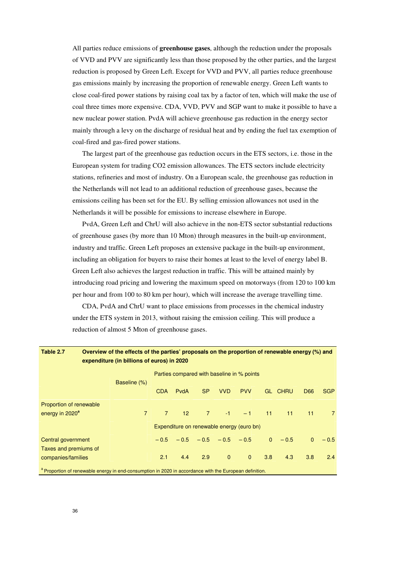All parties reduce emissions of **greenhouse gases**, although the reduction under the proposals of VVD and PVV are significantly less than those proposed by the other parties, and the largest reduction is proposed by Green Left. Except for VVD and PVV, all parties reduce greenhouse gas emissions mainly by increasing the proportion of renewable energy. Green Left wants to close coal-fired power stations by raising coal tax by a factor of ten, which will make the use of coal three times more expensive. CDA, VVD, PVV and SGP want to make it possible to have a new nuclear power station. PvdA will achieve greenhouse gas reduction in the energy sector mainly through a levy on the discharge of residual heat and by ending the fuel tax exemption of coal-fired and gas-fired power stations.

The largest part of the greenhouse gas reduction occurs in the ETS sectors, i.e. those in the European system for trading CO2 emission allowances. The ETS sectors include electricity stations, refineries and most of industry. On a European scale, the greenhouse gas reduction in the Netherlands will not lead to an additional reduction of greenhouse gases, because the emissions ceiling has been set for the EU. By selling emission allowances not used in the Netherlands it will be possible for emissions to increase elsewhere in Europe.

PvdA, Green Left and ChrU will also achieve in the non-ETS sector substantial reductions of greenhouse gases (by more than 10 Mton) through measures in the built-up environment, industry and traffic. Green Left proposes an extensive package in the built-up environment, including an obligation for buyers to raise their homes at least to the level of energy label B. Green Left also achieves the largest reduction in traffic. This will be attained mainly by introducing road pricing and lowering the maximum speed on motorways (from 120 to 100 km per hour and from 100 to 80 km per hour), which will increase the average travelling time.

CDA, PvdA and ChrU want to place emissions from processes in the chemical industry under the ETS system in 2013, without raising the emission ceiling. This will produce a reduction of almost 5 Mton of greenhouse gases.

| Table 2.7                   | Overview of the effects of the parties' proposals on the proportion of renewable energy (%) and<br>expenditure (in billions of euros) in 2020 |                |                 |           |                |                                            |                |                |              |                |
|-----------------------------|-----------------------------------------------------------------------------------------------------------------------------------------------|----------------|-----------------|-----------|----------------|--------------------------------------------|----------------|----------------|--------------|----------------|
|                             | Baseline (%)                                                                                                                                  |                |                 |           |                | Parties compared with baseline in % points |                |                |              |                |
|                             |                                                                                                                                               | CDA            | PydA            | <b>SP</b> | <b>VVD</b>     | <b>PVV</b>                                 |                | <b>GL CHRU</b> | D66          | <b>SGP</b>     |
| Proportion of renewable     |                                                                                                                                               |                |                 |           |                |                                            |                |                |              |                |
| energy in 2020 <sup>a</sup> | $7^{\circ}$                                                                                                                                   | $\overline{7}$ | 12 <sup>7</sup> | $7 -$     | $-1$ $-$       | $-1$                                       | 11             | 11             | 11           | $\overline{7}$ |
|                             |                                                                                                                                               |                |                 |           |                | Expenditure on renewable energy (euro bn)  |                |                |              |                |
| Central government          |                                                                                                                                               |                |                 |           |                | $-0.5$ $-0.5$ $-0.5$ $-0.5$ $-0.5$         | $\overline{0}$ | $-0.5$         | $\mathbf{0}$ | $-0.5$         |
| Taxes and premiums of       |                                                                                                                                               |                |                 |           |                |                                            |                |                |              |                |
| companies/families          |                                                                                                                                               | 2.1            | 4.4             | 2.9       | $\overline{0}$ | $\Omega$                                   | 3.8            | 4.3            | 3.8          | 2.4            |
|                             | a Proportion of renewable energy in end-consumption in 2020 in accordance with the European definition.                                       |                |                 |           |                |                                            |                |                |              |                |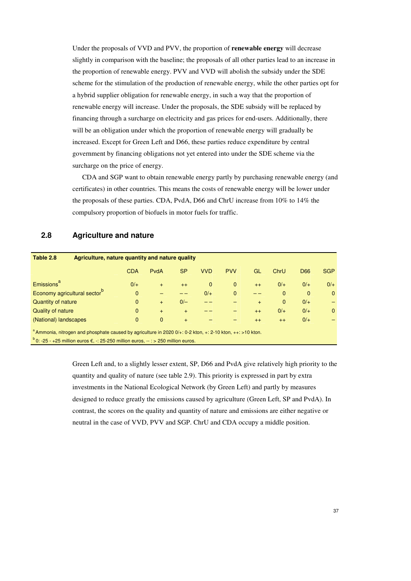Under the proposals of VVD and PVV, the proportion of **renewable energy** will decrease slightly in comparison with the baseline; the proposals of all other parties lead to an increase in the proportion of renewable energy. PVV and VVD will abolish the subsidy under the SDE scheme for the stimulation of the production of renewable energy, while the other parties opt for a hybrid supplier obligation for renewable energy, in such a way that the proportion of renewable energy will increase. Under the proposals, the SDE subsidy will be replaced by financing through a surcharge on electricity and gas prices for end-users. Additionally, there will be an obligation under which the proportion of renewable energy will gradually be increased. Except for Green Left and D66, these parties reduce expenditure by central government by financing obligations not yet entered into under the SDE scheme via the surcharge on the price of energy.

CDA and SGP want to obtain renewable energy partly by purchasing renewable energy (and certificates) in other countries. This means the costs of renewable energy will be lower under the proposals of these parties. CDA, PvdA, D66 and ChrU increase from 10% to 14% the compulsory proportion of biofuels in motor fuels for traffic.

#### **2.8 Agriculture and nature**

| Table 2.8<br>Agriculture, nature quantity and nature quality                                                                                                                                                          |              |              |           |              |              |      |              |              |              |  |
|-----------------------------------------------------------------------------------------------------------------------------------------------------------------------------------------------------------------------|--------------|--------------|-----------|--------------|--------------|------|--------------|--------------|--------------|--|
|                                                                                                                                                                                                                       | <b>CDA</b>   | PvdA         | <b>SP</b> | <b>VVD</b>   | <b>PVV</b>   | GL   | ChrU         | <b>D66</b>   | <b>SGP</b>   |  |
| Emissions <sup>a</sup>                                                                                                                                                                                                | $0/+$        | $+$          | $++$      | $\mathbf{0}$ | $\mathbf{0}$ | $++$ | $0/+$        | $0/+$        | $0/+$        |  |
| Economy agricultural sector <sup>b</sup>                                                                                                                                                                              | $\mathbf{0}$ |              |           | $0/+$        | $\mathbf{0}$ |      | $\mathbf{0}$ | $\mathbf{0}$ | $\mathbf{0}$ |  |
| Quantity of nature                                                                                                                                                                                                    | $\mathbf{0}$ | $+$          | $0/-$     |              |              | $+$  | $\mathbf{0}$ | $0/+$        |              |  |
| Quality of nature                                                                                                                                                                                                     | $\Omega$     | $+$          | $+$       |              |              | $++$ | $0/+$        | $0/+$        | $\mathbf{0}$ |  |
| (National) landscapes                                                                                                                                                                                                 | $\mathbf{0}$ | $\mathbf{0}$ | $+$       |              |              | $++$ | $++$         | $0/+$        |              |  |
| $^{\circ}$ Ammonia, nitrogen and phosphate caused by agriculture in 2020 0/+: 0-2 kton, +: 2-10 kton, ++: >10 kton.<br>$b$ 0: -25 - +25 million euros $\epsilon$ , -: 25-250 million euros, -- : > 250 million euros. |              |              |           |              |              |      |              |              |              |  |

Green Left and, to a slightly lesser extent, SP, D66 and PvdA give relatively high priority to the quantity and quality of nature (see table 2.9). This priority is expressed in part by extra investments in the National Ecological Network (by Green Left) and partly by measures designed to reduce greatly the emissions caused by agriculture (Green Left, SP and PvdA). In contrast, the scores on the quality and quantity of nature and emissions are either negative or neutral in the case of VVD, PVV and SGP. ChrU and CDA occupy a middle position.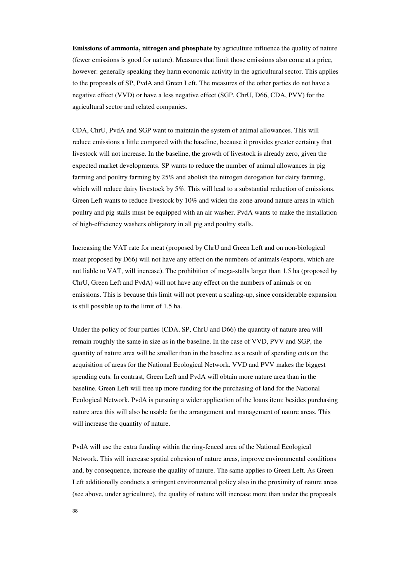**Emissions of ammonia, nitrogen and phosphate** by agriculture influence the quality of nature (fewer emissions is good for nature). Measures that limit those emissions also come at a price, however: generally speaking they harm economic activity in the agricultural sector. This applies to the proposals of SP, PvdA and Green Left. The measures of the other parties do not have a negative effect (VVD) or have a less negative effect (SGP, ChrU, D66, CDA, PVV) for the agricultural sector and related companies.

CDA, ChrU, PvdA and SGP want to maintain the system of animal allowances. This will reduce emissions a little compared with the baseline, because it provides greater certainty that livestock will not increase. In the baseline, the growth of livestock is already zero, given the expected market developments. SP wants to reduce the number of animal allowances in pig farming and poultry farming by 25% and abolish the nitrogen derogation for dairy farming, which will reduce dairy livestock by 5%. This will lead to a substantial reduction of emissions. Green Left wants to reduce livestock by 10% and widen the zone around nature areas in which poultry and pig stalls must be equipped with an air washer. PvdA wants to make the installation of high-efficiency washers obligatory in all pig and poultry stalls.

Increasing the VAT rate for meat (proposed by ChrU and Green Left and on non-biological meat proposed by D66) will not have any effect on the numbers of animals (exports, which are not liable to VAT, will increase). The prohibition of mega-stalls larger than 1.5 ha (proposed by ChrU, Green Left and PvdA) will not have any effect on the numbers of animals or on emissions. This is because this limit will not prevent a scaling-up, since considerable expansion is still possible up to the limit of 1.5 ha.

Under the policy of four parties (CDA, SP, ChrU and D66) the quantity of nature area will remain roughly the same in size as in the baseline. In the case of VVD, PVV and SGP, the quantity of nature area will be smaller than in the baseline as a result of spending cuts on the acquisition of areas for the National Ecological Network. VVD and PVV makes the biggest spending cuts. In contrast, Green Left and PvdA will obtain more nature area than in the baseline. Green Left will free up more funding for the purchasing of land for the National Ecological Network. PvdA is pursuing a wider application of the loans item: besides purchasing nature area this will also be usable for the arrangement and management of nature areas. This will increase the quantity of nature.

PvdA will use the extra funding within the ring-fenced area of the National Ecological Network. This will increase spatial cohesion of nature areas, improve environmental conditions and, by consequence, increase the quality of nature. The same applies to Green Left. As Green Left additionally conducts a stringent environmental policy also in the proximity of nature areas (see above, under agriculture), the quality of nature will increase more than under the proposals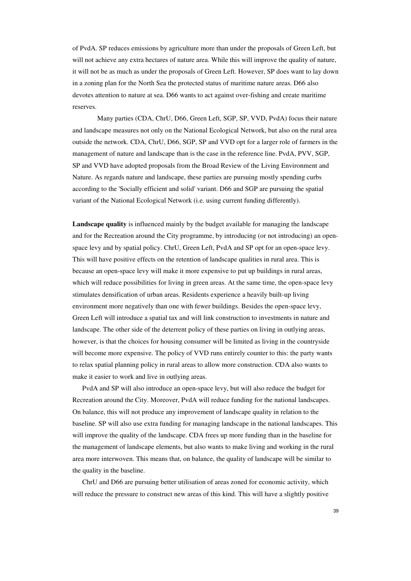of PvdA. SP reduces emissions by agriculture more than under the proposals of Green Left, but will not achieve any extra hectares of nature area. While this will improve the quality of nature, it will not be as much as under the proposals of Green Left. However, SP does want to lay down in a zoning plan for the North Sea the protected status of maritime nature areas. D66 also devotes attention to nature at sea. D66 wants to act against over-fishing and create maritime reserves.

Many parties (CDA, ChrU, D66, Green Left, SGP, SP, VVD, PvdA) focus their nature and landscape measures not only on the National Ecological Network, but also on the rural area outside the network. CDA, ChrU, D66, SGP, SP and VVD opt for a larger role of farmers in the management of nature and landscape than is the case in the reference line. PvdA, PVV, SGP, SP and VVD have adopted proposals from the Broad Review of the Living Environment and Nature. As regards nature and landscape, these parties are pursuing mostly spending curbs according to the 'Socially efficient and solid' variant. D66 and SGP are pursuing the spatial variant of the National Ecological Network (i.e. using current funding differently).

**Landscape quality** is influenced mainly by the budget available for managing the landscape and for the Recreation around the City programme, by introducing (or not introducing) an openspace levy and by spatial policy. ChrU, Green Left, PvdA and SP opt for an open-space levy. This will have positive effects on the retention of landscape qualities in rural area. This is because an open-space levy will make it more expensive to put up buildings in rural areas, which will reduce possibilities for living in green areas. At the same time, the open-space levy stimulates densification of urban areas. Residents experience a heavily built-up living environment more negatively than one with fewer buildings. Besides the open-space levy, Green Left will introduce a spatial tax and will link construction to investments in nature and landscape. The other side of the deterrent policy of these parties on living in outlying areas, however, is that the choices for housing consumer will be limited as living in the countryside will become more expensive. The policy of VVD runs entirely counter to this: the party wants to relax spatial planning policy in rural areas to allow more construction. CDA also wants to make it easier to work and live in outlying areas.

PvdA and SP will also introduce an open-space levy, but will also reduce the budget for Recreation around the City. Moreover, PvdA will reduce funding for the national landscapes. On balance, this will not produce any improvement of landscape quality in relation to the baseline. SP will also use extra funding for managing landscape in the national landscapes. This will improve the quality of the landscape. CDA frees up more funding than in the baseline for the management of landscape elements, but also wants to make living and working in the rural area more interwoven. This means that, on balance, the quality of landscape will be similar to the quality in the baseline.

ChrU and D66 are pursuing better utilisation of areas zoned for economic activity, which will reduce the pressure to construct new areas of this kind. This will have a slightly positive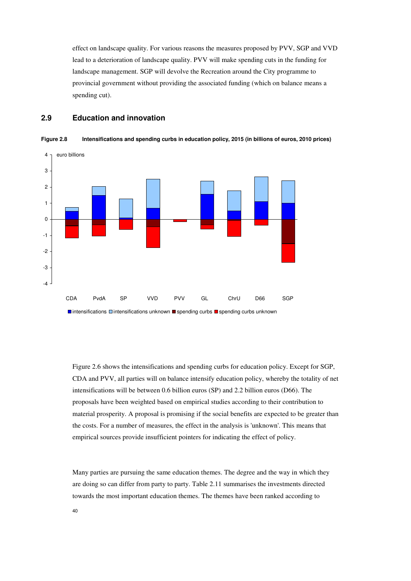effect on landscape quality. For various reasons the measures proposed by PVV, SGP and VVD lead to a deterioration of landscape quality. PVV will make spending cuts in the funding for landscape management. SGP will devolve the Recreation around the City programme to provincial government without providing the associated funding (which on balance means a spending cut).

## **2.9 Education and innovation**



**Figure 2.8 Intensifications and spending curbs in education policy, 2015 (in billions of euros, 2010 prices)** 

Figure 2.6 shows the intensifications and spending curbs for education policy. Except for SGP, CDA and PVV, all parties will on balance intensify education policy, whereby the totality of net intensifications will be between 0.6 billion euros (SP) and 2.2 billion euros (D66). The proposals have been weighted based on empirical studies according to their contribution to material prosperity. A proposal is promising if the social benefits are expected to be greater than the costs. For a number of measures, the effect in the analysis is 'unknown'. This means that empirical sources provide insufficient pointers for indicating the effect of policy.

Many parties are pursuing the same education themes. The degree and the way in which they are doing so can differ from party to party. Table 2.11 summarises the investments directed towards the most important education themes. The themes have been ranked according to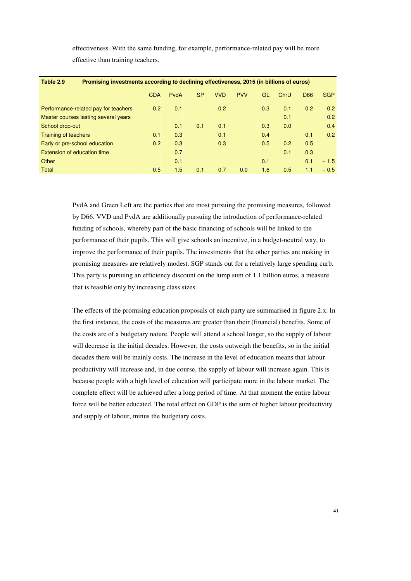effectiveness. With the same funding, for example, performance-related pay will be more effective than training teachers.

| Table 2.9<br>Promising investments according to declining effectiveness, 2015 (in billions of euros) |            |      |           |            |            |     |      |            |            |  |  |
|------------------------------------------------------------------------------------------------------|------------|------|-----------|------------|------------|-----|------|------------|------------|--|--|
|                                                                                                      | <b>CDA</b> | PvdA | <b>SP</b> | <b>VVD</b> | <b>PVV</b> | GL  | ChrU | <b>D66</b> | <b>SGP</b> |  |  |
| Performance-related pay for teachers                                                                 | 0.2        | 0.1  |           | 0.2        |            | 0.3 | 0.1  | 0.2        | 0.2        |  |  |
| Master courses lasting several years                                                                 |            |      |           |            |            |     | 0.1  |            | 0.2        |  |  |
| School drop-out                                                                                      |            | 0.1  | 0.1       | 0.1        |            | 0.3 | 0.0  |            | 0.4        |  |  |
| <b>Training of teachers</b>                                                                          | 0.1        | 0.3  |           | 0.1        |            | 0.4 |      | 0.1        | 0.2        |  |  |
| Early or pre-school education                                                                        | 0.2        | 0.3  |           | 0.3        |            | 0.5 | 0.2  | 0.5        |            |  |  |
| Extension of education time                                                                          |            | 0.7  |           |            |            |     | 0.1  | 0.3        |            |  |  |
| Other                                                                                                |            | 0.1  |           |            |            | 0.1 |      | 0.1        | $-1.5$     |  |  |
| Total                                                                                                | 0.5        | 1.5  | 0.1       | 0.7        | 0.0        | 1.6 | 0.5  | 1.1        | $-0.5$     |  |  |

PvdA and Green Left are the parties that are most pursuing the promising measures, followed by D66. VVD and PvdA are additionally pursuing the introduction of performance-related funding of schools, whereby part of the basic financing of schools will be linked to the performance of their pupils. This will give schools an incentive, in a budget-neutral way, to improve the performance of their pupils. The investments that the other parties are making in promising measures are relatively modest. SGP stands out for a relatively large spending curb. This party is pursuing an efficiency discount on the lump sum of 1.1 billion euros, a measure that is feasible only by increasing class sizes.

The effects of the promising education proposals of each party are summarised in figure 2.x. In the first instance, the costs of the measures are greater than their (financial) benefits. Some of the costs are of a budgetary nature. People will attend a school longer, so the supply of labour will decrease in the initial decades. However, the costs outweigh the benefits, so in the initial decades there will be mainly costs. The increase in the level of education means that labour productivity will increase and, in due course, the supply of labour will increase again. This is because people with a high level of education will participate more in the labour market. The complete effect will be achieved after a long period of time. At that moment the entire labour force will be better educated. The total effect on GDP is the sum of higher labour productivity and supply of labour, minus the budgetary costs.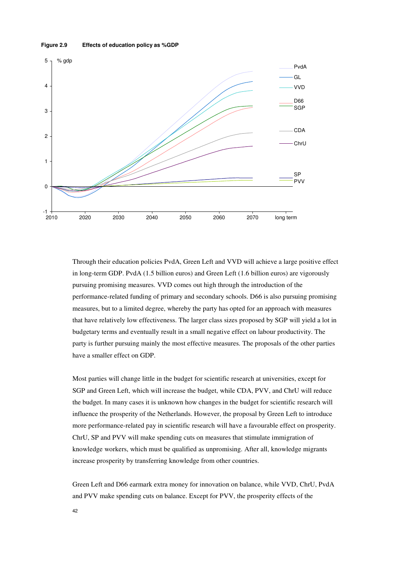#### **Figure 2.9 Effects of education policy as %GDP**



Through their education policies PvdA, Green Left and VVD will achieve a large positive effect in long-term GDP. PvdA (1.5 billion euros) and Green Left (1.6 billion euros) are vigorously pursuing promising measures. VVD comes out high through the introduction of the performance-related funding of primary and secondary schools. D66 is also pursuing promising measures, but to a limited degree, whereby the party has opted for an approach with measures that have relatively low effectiveness. The larger class sizes proposed by SGP will yield a lot in budgetary terms and eventually result in a small negative effect on labour productivity. The party is further pursuing mainly the most effective measures. The proposals of the other parties have a smaller effect on GDP.

Most parties will change little in the budget for scientific research at universities, except for SGP and Green Left, which will increase the budget, while CDA, PVV, and ChrU will reduce the budget. In many cases it is unknown how changes in the budget for scientific research will influence the prosperity of the Netherlands. However, the proposal by Green Left to introduce more performance-related pay in scientific research will have a favourable effect on prosperity. ChrU, SP and PVV will make spending cuts on measures that stimulate immigration of knowledge workers, which must be qualified as unpromising. After all, knowledge migrants increase prosperity by transferring knowledge from other countries.

Green Left and D66 earmark extra money for innovation on balance, while VVD, ChrU, PvdA and PVV make spending cuts on balance. Except for PVV, the prosperity effects of the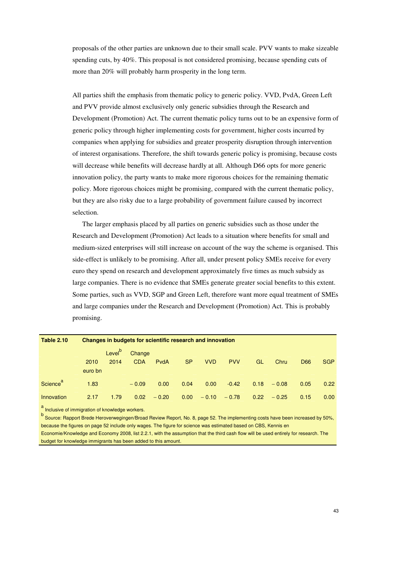proposals of the other parties are unknown due to their small scale. PVV wants to make sizeable spending cuts, by 40%. This proposal is not considered promising, because spending cuts of more than 20% will probably harm prosperity in the long term.

All parties shift the emphasis from thematic policy to generic policy. VVD, PvdA, Green Left and PVV provide almost exclusively only generic subsidies through the Research and Development (Promotion) Act. The current thematic policy turns out to be an expensive form of generic policy through higher implementing costs for government, higher costs incurred by companies when applying for subsidies and greater prosperity disruption through intervention of interest organisations. Therefore, the shift towards generic policy is promising, because costs will decrease while benefits will decrease hardly at all. Although D66 opts for more generic innovation policy, the party wants to make more rigorous choices for the remaining thematic policy. More rigorous choices might be promising, compared with the current thematic policy, but they are also risky due to a large probability of government failure caused by incorrect selection.

The larger emphasis placed by all parties on generic subsidies such as those under the Research and Development (Promotion) Act leads to a situation where benefits for small and medium-sized enterprises will still increase on account of the way the scheme is organised. This side-effect is unlikely to be promising. After all, under present policy SMEs receive for every euro they spend on research and development approximately five times as much subsidy as large companies. There is no evidence that SMEs generate greater social benefits to this extent. Some parties, such as VVD, SGP and Green Left, therefore want more equal treatment of SMEs and large companies under the Research and Development (Promotion) Act. This is probably promising.

| <b>Table 2.10</b>    |         | Changes in budgets for scientific research and innovation |            |         |                   |            |            |           |         |                 |                   |  |  |  |
|----------------------|---------|-----------------------------------------------------------|------------|---------|-------------------|------------|------------|-----------|---------|-----------------|-------------------|--|--|--|
|                      |         | Level <sup>b</sup>                                        | Change     |         |                   |            |            |           |         |                 |                   |  |  |  |
|                      | 2010    | 2014                                                      | <b>CDA</b> | PvdA    | <b>SP</b>         | <b>VVD</b> | <b>PVV</b> | <b>GL</b> | Chru    | D <sub>66</sub> | <b>SGP</b>        |  |  |  |
|                      | euro bn |                                                           |            |         |                   |            |            |           |         |                 |                   |  |  |  |
| Science <sup>a</sup> | 1.83    |                                                           | $-0.09$    | 0.00    | 0.04              | 0.00       | $-0.42$    | 0.18      | $-0.08$ | 0.05            | 0.22              |  |  |  |
| Innovation<br>$\sim$ | 2.17    | 1.79                                                      | 0.02       | $-0.20$ | 0.00 <sub>1</sub> | $-0.10$    | $-0.78$    | 0.22      | $-0.25$ | 0.15            | 0.00 <sub>1</sub> |  |  |  |

a<br>Inclusive of immigration of knowledge workers.

b<br>Cource: Rapport Brede Heroverwegingen/Broad Review Report, No. 8, page 52. The implementing costs have been increased by 50%, because the figures on page 52 include only wages. The figure for science was estimated based on CBS, Kennis en Economie/Knowledge and Economy 2008, list 2.2.1, with the assumption that the third cash flow will be used entirely for research. The budget for knowledge immigrants has been added to this amount.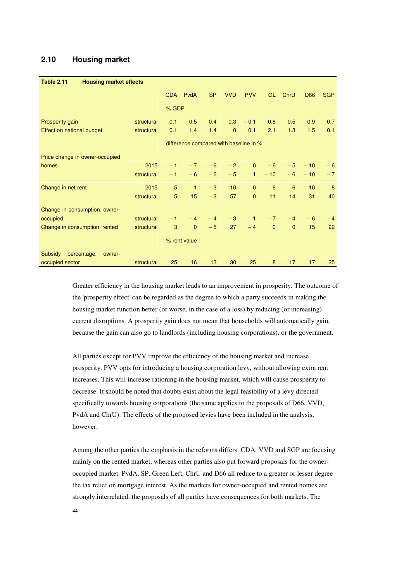## **2.10 Housing market**

| <b>Table 2.11</b><br><b>Housing market effects</b> |            |                                        |              |           |                 |              |              |              |       |            |  |
|----------------------------------------------------|------------|----------------------------------------|--------------|-----------|-----------------|--------------|--------------|--------------|-------|------------|--|
|                                                    |            |                                        | CDA PvdA     | <b>SP</b> | <b>VVD</b>      | <b>PVV</b>   | GL           | ChrU         | D66   | <b>SGP</b> |  |
|                                                    |            | % GDP                                  |              |           |                 |              |              |              |       |            |  |
| Prosperity gain                                    | structural | 0.1                                    | 0.5          | 0.4       | 0.3             | $-0.1$       | 0.8          | 0.5          | 0.9   | 0.7        |  |
| Effect on national budget                          | structural | 0.1                                    | 1.4          | 1.4       | $\mathbf{0}$    | 0.1          | 2.1          | 1.3          | 1.5   | 0.1        |  |
|                                                    |            | difference compared with baseline in % |              |           |                 |              |              |              |       |            |  |
| Price change in owner-occupied                     |            |                                        |              |           |                 |              |              |              |       |            |  |
| homes                                              | 2015       | $-1$                                   | $-7$         | $-6$      | $-2$            | $\mathbf{0}$ | $-6$         | $-5$         | $-10$ | $-6$       |  |
|                                                    | structural | $-1$                                   | $-6$         | $-6$      | $-5$            | $\mathbf{1}$ | $-10$        | $-6$         | $-10$ | $-7$       |  |
| Change in net rent                                 | 2015       | 5                                      | $\mathbf{1}$ | $-3$      | 10 <sup>1</sup> | $\mathbf{0}$ | 6            | 6            | 10    | 8          |  |
|                                                    | structural | 5                                      | 15           | $-3$      | 57              | $\mathbf{0}$ | 11           | 14           | 31    | 40         |  |
| Change in consumption. owner-                      |            |                                        |              |           |                 |              |              |              |       |            |  |
| occupied                                           | structural | $-1$                                   | $-4$         | $-4$      | $-3$            | $\mathbf{1}$ | $-7$         | $-4$         | $-6$  | $-4$       |  |
| Change in consumption. rented                      | structural | 3                                      | $\mathbf{0}$ | $-5$      | 27              | $-4$         | $\mathbf{0}$ | $\mathbf{0}$ | 15    | 22         |  |
| % rent value                                       |            |                                        |              |           |                 |              |              |              |       |            |  |
| <b>Subsidy</b><br>percentage.<br>owner-            |            |                                        |              |           |                 |              |              |              |       |            |  |
| occupied sector                                    | structural | 25                                     | 16           | 13        | 30              | 25           | 8            | 17           | 17    | 25         |  |

Greater efficiency in the housing market leads to an improvement in prosperity. The outcome of the 'prosperity effect' can be regarded as the degree to which a party succeeds in making the housing market function better (or worse, in the case of a loss) by reducing (or increasing) current disruptions. A prosperity gain does not mean that households will automatically gain, because the gain can also go to landlords (including housing corporations), or the government.

All parties except for PVV improve the efficiency of the housing market and increase prosperity. PVV opts for introducing a housing corporation levy, without allowing extra rent increases. This will increase rationing in the housing market, which will cause prosperity to decrease. It should be noted that doubts exist about the legal feasibility of a levy directed specifically towards housing corporations (the same applies to the proposals of D66, VVD, PvdA and ChrU). The effects of the proposed levies have been included in the analysis, however.

Among the other parties the emphasis in the reforms differs. CDA, VVD and SGP are focusing mainly on the rented market, whereas other parties also put forward proposals for the owneroccupied market. PvdA, SP, Green Left, ChrU and D66 all reduce to a greater or lesser degree the tax relief on mortgage interest. As the markets for owner-occupied and rented homes are strongly interrelated, the proposals of all parties have consequences for both markets. The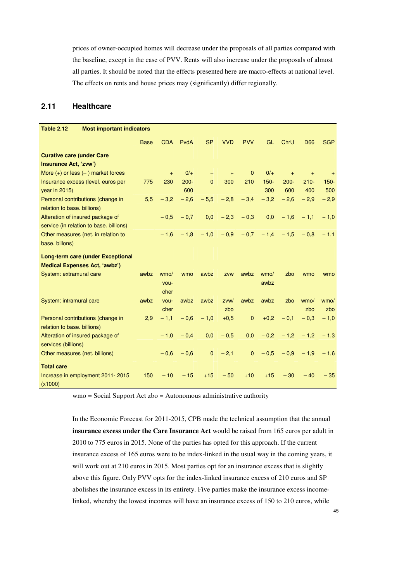prices of owner-occupied homes will decrease under the proposals of all parties compared with the baseline, except in the case of PVV. Rents will also increase under the proposals of almost all parties. It should be noted that the effects presented here are macro-effects at national level. The effects on rents and house prices may (significantly) differ regionally.

### **2.11 Healthcare**

| <b>Table 2.12</b><br><b>Most important indicators</b> |                                          |             |            |         |                   |            |                |                 |           |            |            |
|-------------------------------------------------------|------------------------------------------|-------------|------------|---------|-------------------|------------|----------------|-----------------|-----------|------------|------------|
|                                                       |                                          | <b>Base</b> | <b>CDA</b> | PvdA    | <b>SP</b>         | <b>VVD</b> | <b>PVV</b>     | GL              | ChrU      | <b>D66</b> | <b>SGP</b> |
| <b>Curative care (under Care</b>                      |                                          |             |            |         |                   |            |                |                 |           |            |            |
| Insurance Act, 'zvw')                                 |                                          |             |            |         |                   |            |                |                 |           |            |            |
| More $(+)$ or less $(-)$ market forces                |                                          |             | $+$        | $0/+$   | $\qquad \qquad -$ | $+$        | $\mathbf{0}$   | $0/+$           | $\ddot{}$ | $+$        | $+$        |
|                                                       | Insurance excess (level. euros per       | 775         | 230        | $200 -$ | $\mathbf{0}$      | 300        | 210            | $150 -$         | $200 -$   | $210 -$    | $150 -$    |
| year in 2015)                                         |                                          |             |            | 600     |                   |            |                | 300             | 600       | 400        | 500        |
| Personal contributions (change in                     |                                          | 5,5         | $-3,2$     | $-2,6$  | $-5,5$            | $-2,8$     | $-3,4$         | $-3,2$          | $-2,6$    | $-2.9$     | $-2,9$     |
| relation to base. billions)                           |                                          |             |            |         |                   |            |                |                 |           |            |            |
| Alteration of insured package of                      |                                          |             | $-0.5$     | $-0,7$  | 0,0               | $-2,3$     | $-0,3$         | 0,0             | $-1,6$    | $-1.1$     | $-1,0$     |
|                                                       | service (in relation to base. billions)  |             |            |         |                   |            |                |                 |           |            |            |
|                                                       | Other measures (net. in relation to      |             | $-1.6$     | $-1,8$  | $-1.0$            |            | $-0.9 - 0.7$   | $-1.4$          | $-1.5$    | $-0.8$     | $-1.1$     |
| base. billons)                                        |                                          |             |            |         |                   |            |                |                 |           |            |            |
|                                                       | <b>Long-term care (under Exceptional</b> |             |            |         |                   |            |                |                 |           |            |            |
|                                                       | <b>Medical Expenses Act, 'awbz')</b>     |             |            |         |                   |            |                |                 |           |            |            |
| System: extramural care                               |                                          | awbz        | wmo/       | wmo     | awbz              | zvw        | awbz           | wm <sub>O</sub> | zbo       | wmo        | wmo        |
|                                                       |                                          |             | vou-       |         |                   |            |                | awbz            |           |            |            |
|                                                       |                                          |             | cher       |         |                   |            |                |                 |           |            |            |
| System: intramural care                               |                                          | awbz        | vou-       | awbz    | awbz              | ZVW/       | awbz           | awbz            | zbo       | wmo/       | wmo/       |
|                                                       |                                          |             | cher       |         |                   | zbo        |                |                 |           | zbo        | zbo        |
|                                                       | Personal contributions (change in        | 2,9         | $-1,1$     | $-0,6$  | $-1,0$            | $+0,5$     | $\mathbf{0}$   | $+0,2$          | $-0.1$    | $-0.3$     | $-1,0$     |
| relation to base. billions)                           |                                          |             |            |         |                   |            |                |                 |           |            |            |
| Alteration of insured package of                      |                                          |             | $-1,0$     | $-0.4$  | 0,0               | $-0,5$     | 0,0            | $-0,2$          | $-1,2$    | $-1.2$     | $-1.3$     |
| services (billions)                                   |                                          |             |            |         |                   |            |                |                 |           |            |            |
| Other measures (net. billions)                        |                                          |             | $-0.6$     | $-0,6$  | $\mathbf{0}$      | $-2,1$     | $\overline{0}$ | $-0.5$          | $-0.9$    | $-1.9$     | $-1.6$     |
| <b>Total care</b>                                     |                                          |             |            |         |                   |            |                |                 |           |            |            |
|                                                       | Increase in employment 2011-2015         | 150         | $-10$      | $-15$   | $+15$             | $-50$      | $+10$          | $+15$           | $-30$     | $-40$      | $-35$      |
| (x1000)                                               |                                          |             |            |         |                   |            |                |                 |           |            |            |

wmo = Social Support Act zbo = Autonomous administrative authority

In the Economic Forecast for 2011-2015, CPB made the technical assumption that the annual **insurance excess under the Care Insurance Act** would be raised from 165 euros per adult in 2010 to 775 euros in 2015. None of the parties has opted for this approach. If the current insurance excess of 165 euros were to be index-linked in the usual way in the coming years, it will work out at 210 euros in 2015. Most parties opt for an insurance excess that is slightly above this figure. Only PVV opts for the index-linked insurance excess of 210 euros and SP abolishes the insurance excess in its entirety. Five parties make the insurance excess incomelinked, whereby the lowest incomes will have an insurance excess of 150 to 210 euros, while

45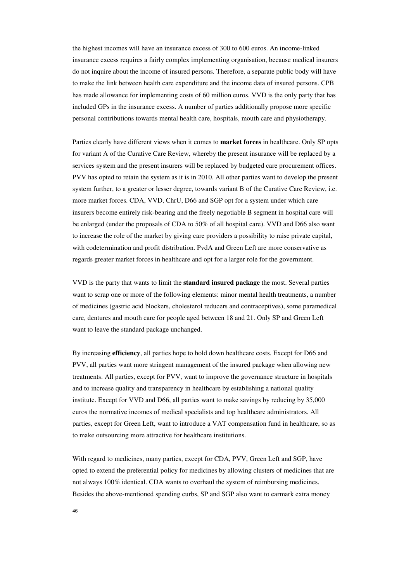the highest incomes will have an insurance excess of 300 to 600 euros. An income-linked insurance excess requires a fairly complex implementing organisation, because medical insurers do not inquire about the income of insured persons. Therefore, a separate public body will have to make the link between health care expenditure and the income data of insured persons. CPB has made allowance for implementing costs of 60 million euros. VVD is the only party that has included GPs in the insurance excess. A number of parties additionally propose more specific personal contributions towards mental health care, hospitals, mouth care and physiotherapy.

Parties clearly have different views when it comes to **market forces** in healthcare. Only SP opts for variant A of the Curative Care Review, whereby the present insurance will be replaced by a services system and the present insurers will be replaced by budgeted care procurement offices. PVV has opted to retain the system as it is in 2010. All other parties want to develop the present system further, to a greater or lesser degree, towards variant B of the Curative Care Review, i.e. more market forces. CDA, VVD, ChrU, D66 and SGP opt for a system under which care insurers become entirely risk-bearing and the freely negotiable B segment in hospital care will be enlarged (under the proposals of CDA to 50% of all hospital care). VVD and D66 also want to increase the role of the market by giving care providers a possibility to raise private capital, with codetermination and profit distribution. PvdA and Green Left are more conservative as regards greater market forces in healthcare and opt for a larger role for the government.

VVD is the party that wants to limit the **standard insured package** the most. Several parties want to scrap one or more of the following elements: minor mental health treatments, a number of medicines (gastric acid blockers, cholesterol reducers and contraceptives), some paramedical care, dentures and mouth care for people aged between 18 and 21. Only SP and Green Left want to leave the standard package unchanged.

By increasing **efficiency**, all parties hope to hold down healthcare costs. Except for D66 and PVV, all parties want more stringent management of the insured package when allowing new treatments. All parties, except for PVV, want to improve the governance structure in hospitals and to increase quality and transparency in healthcare by establishing a national quality institute. Except for VVD and D66, all parties want to make savings by reducing by 35,000 euros the normative incomes of medical specialists and top healthcare administrators. All parties, except for Green Left, want to introduce a VAT compensation fund in healthcare, so as to make outsourcing more attractive for healthcare institutions.

With regard to medicines, many parties, except for CDA, PVV, Green Left and SGP, have opted to extend the preferential policy for medicines by allowing clusters of medicines that are not always 100% identical. CDA wants to overhaul the system of reimbursing medicines. Besides the above-mentioned spending curbs, SP and SGP also want to earmark extra money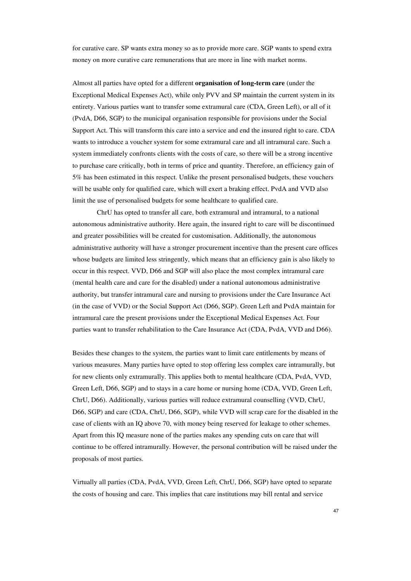for curative care. SP wants extra money so as to provide more care. SGP wants to spend extra money on more curative care remunerations that are more in line with market norms.

Almost all parties have opted for a different **organisation of long-term care** (under the Exceptional Medical Expenses Act), while only PVV and SP maintain the current system in its entirety. Various parties want to transfer some extramural care (CDA, Green Left), or all of it (PvdA, D66, SGP) to the municipal organisation responsible for provisions under the Social Support Act. This will transform this care into a service and end the insured right to care. CDA wants to introduce a voucher system for some extramural care and all intramural care. Such a system immediately confronts clients with the costs of care, so there will be a strong incentive to purchase care critically, both in terms of price and quantity. Therefore, an efficiency gain of 5% has been estimated in this respect. Unlike the present personalised budgets, these vouchers will be usable only for qualified care, which will exert a braking effect. PvdA and VVD also limit the use of personalised budgets for some healthcare to qualified care.

 ChrU has opted to transfer all care, both extramural and intramural, to a national autonomous administrative authority. Here again, the insured right to care will be discontinued and greater possibilities will be created for customisation. Additionally, the autonomous administrative authority will have a stronger procurement incentive than the present care offices whose budgets are limited less stringently, which means that an efficiency gain is also likely to occur in this respect. VVD, D66 and SGP will also place the most complex intramural care (mental health care and care for the disabled) under a national autonomous administrative authority, but transfer intramural care and nursing to provisions under the Care Insurance Act (in the case of VVD) or the Social Support Act (D66, SGP). Green Left and PvdA maintain for intramural care the present provisions under the Exceptional Medical Expenses Act. Four parties want to transfer rehabilitation to the Care Insurance Act (CDA, PvdA, VVD and D66).

Besides these changes to the system, the parties want to limit care entitlements by means of various measures. Many parties have opted to stop offering less complex care intramurally, but for new clients only extramurally. This applies both to mental healthcare (CDA, PvdA, VVD, Green Left, D66, SGP) and to stays in a care home or nursing home (CDA, VVD, Green Left, ChrU, D66). Additionally, various parties will reduce extramural counselling (VVD, ChrU, D66, SGP) and care (CDA, ChrU, D66, SGP), while VVD will scrap care for the disabled in the case of clients with an IQ above 70, with money being reserved for leakage to other schemes. Apart from this IQ measure none of the parties makes any spending cuts on care that will continue to be offered intramurally. However, the personal contribution will be raised under the proposals of most parties.

Virtually all parties (CDA, PvdA, VVD, Green Left, ChrU, D66, SGP) have opted to separate the costs of housing and care. This implies that care institutions may bill rental and service